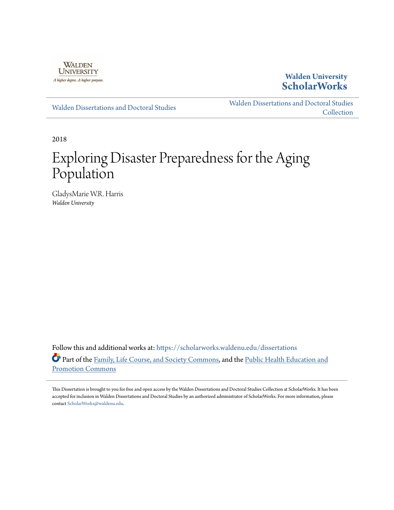

**Walden University [ScholarWorks](https://scholarworks.waldenu.edu?utm_source=scholarworks.waldenu.edu%2Fdissertations%2F6211&utm_medium=PDF&utm_campaign=PDFCoverPages)**

[Walden Dissertations and Doctoral Studies](https://scholarworks.waldenu.edu/dissertations?utm_source=scholarworks.waldenu.edu%2Fdissertations%2F6211&utm_medium=PDF&utm_campaign=PDFCoverPages)

[Walden Dissertations and Doctoral Studies](https://scholarworks.waldenu.edu/dissanddoc?utm_source=scholarworks.waldenu.edu%2Fdissertations%2F6211&utm_medium=PDF&utm_campaign=PDFCoverPages) **[Collection](https://scholarworks.waldenu.edu/dissanddoc?utm_source=scholarworks.waldenu.edu%2Fdissertations%2F6211&utm_medium=PDF&utm_campaign=PDFCoverPages)** 

2018

# Exploring Disaster Preparedness for the Aging Population

GladysMarie W.R. Harris *Walden University*

Follow this and additional works at: [https://scholarworks.waldenu.edu/dissertations](https://scholarworks.waldenu.edu/dissertations?utm_source=scholarworks.waldenu.edu%2Fdissertations%2F6211&utm_medium=PDF&utm_campaign=PDFCoverPages) Part of the [Family, Life Course, and Society Commons](http://network.bepress.com/hgg/discipline/419?utm_source=scholarworks.waldenu.edu%2Fdissertations%2F6211&utm_medium=PDF&utm_campaign=PDFCoverPages), and the [Public Health Education and](http://network.bepress.com/hgg/discipline/743?utm_source=scholarworks.waldenu.edu%2Fdissertations%2F6211&utm_medium=PDF&utm_campaign=PDFCoverPages) [Promotion Commons](http://network.bepress.com/hgg/discipline/743?utm_source=scholarworks.waldenu.edu%2Fdissertations%2F6211&utm_medium=PDF&utm_campaign=PDFCoverPages)

This Dissertation is brought to you for free and open access by the Walden Dissertations and Doctoral Studies Collection at ScholarWorks. It has been accepted for inclusion in Walden Dissertations and Doctoral Studies by an authorized administrator of ScholarWorks. For more information, please contact [ScholarWorks@waldenu.edu](mailto:ScholarWorks@waldenu.edu).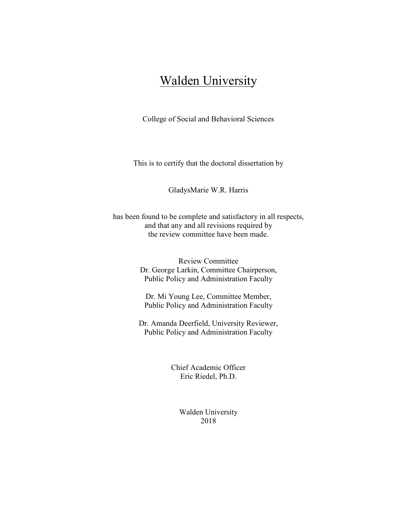## Walden University

College of Social and Behavioral Sciences

This is to certify that the doctoral dissertation by

GladysMarie W.R. Harris

has been found to be complete and satisfactory in all respects, and that any and all revisions required by the review committee have been made.

> Review Committee Dr. George Larkin, Committee Chairperson, Public Policy and Administration Faculty

Dr. Mi Young Lee, Committee Member, Public Policy and Administration Faculty

Dr. Amanda Deerfield, University Reviewer, Public Policy and Administration Faculty

> Chief Academic Officer Eric Riedel, Ph.D.

> > Walden University 2018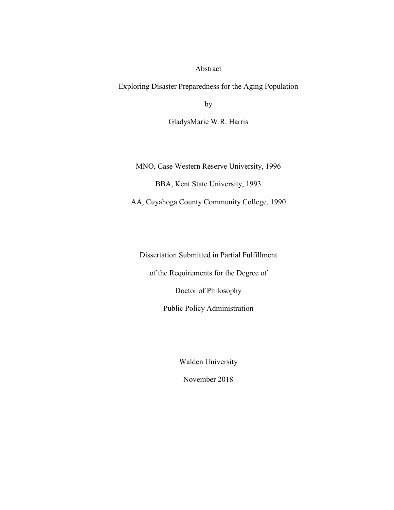#### Abstract

Exploring Disaster Preparedness for the Aging Population

by

GladysMarie W.R. Harris

MNO, Case Western Reserve University, 1996

BBA, Kent State University, 1993

AA, Cuyahoga County Community College, 1990

Dissertation Submitted in Partial Fulfillment of the Requirements for the Degree of Doctor of Philosophy Public Policy Administration

Walden University

November 2018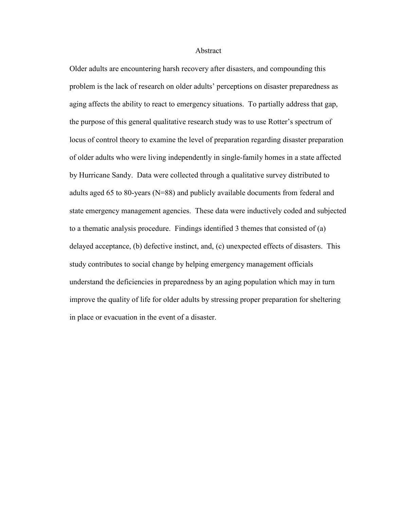#### Abstract

Older adults are encountering harsh recovery after disasters, and compounding this problem is the lack of research on older adults' perceptions on disaster preparedness as aging affects the ability to react to emergency situations. To partially address that gap, the purpose of this general qualitative research study was to use Rotter's spectrum of locus of control theory to examine the level of preparation regarding disaster preparation of older adults who were living independently in single-family homes in a state affected by Hurricane Sandy. Data were collected through a qualitative survey distributed to adults aged 65 to 80-years (N=88) and publicly available documents from federal and state emergency management agencies. These data were inductively coded and subjected to a thematic analysis procedure. Findings identified 3 themes that consisted of (a) delayed acceptance, (b) defective instinct, and, (c) unexpected effects of disasters. This study contributes to social change by helping emergency management officials understand the deficiencies in preparedness by an aging population which may in turn improve the quality of life for older adults by stressing proper preparation for sheltering in place or evacuation in the event of a disaster.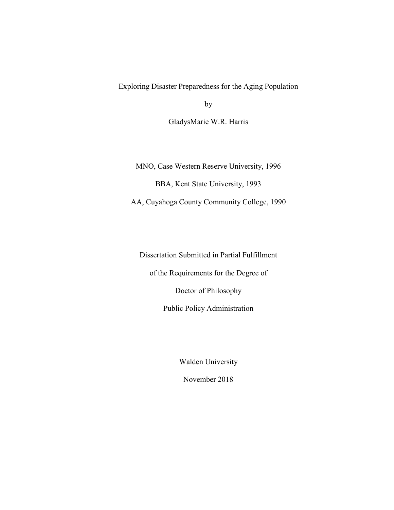Exploring Disaster Preparedness for the Aging Population

by

GladysMarie W.R. Harris

MNO, Case Western Reserve University, 1996

BBA, Kent State University, 1993

AA, Cuyahoga County Community College, 1990

Dissertation Submitted in Partial Fulfillment of the Requirements for the Degree of Doctor of Philosophy Public Policy Administration

Walden University

November 2018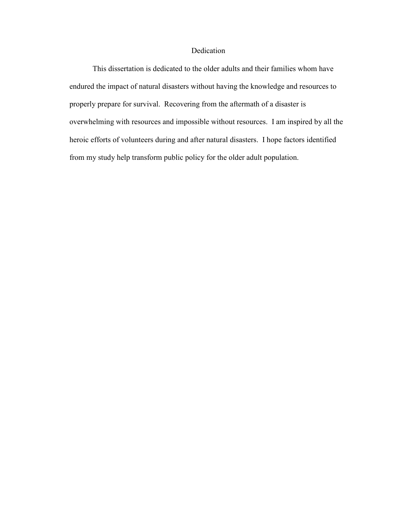#### Dedication

This dissertation is dedicated to the older adults and their families whom have endured the impact of natural disasters without having the knowledge and resources to properly prepare for survival. Recovering from the aftermath of a disaster is overwhelming with resources and impossible without resources. I am inspired by all the heroic efforts of volunteers during and after natural disasters. I hope factors identified from my study help transform public policy for the older adult population.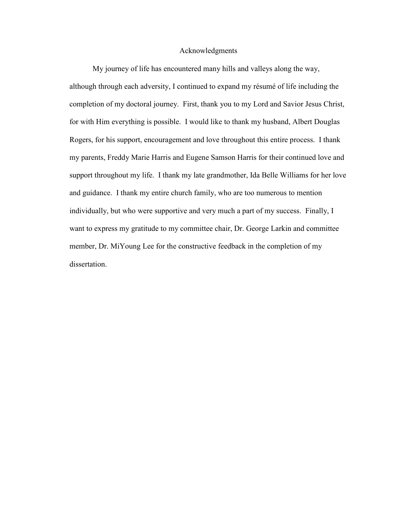#### Acknowledgments

 My journey of life has encountered many hills and valleys along the way, although through each adversity, I continued to expand my résumé of life including the completion of my doctoral journey. First, thank you to my Lord and Savior Jesus Christ, for with Him everything is possible. I would like to thank my husband, Albert Douglas Rogers, for his support, encouragement and love throughout this entire process. I thank my parents, Freddy Marie Harris and Eugene Samson Harris for their continued love and support throughout my life. I thank my late grandmother, Ida Belle Williams for her love and guidance. I thank my entire church family, who are too numerous to mention individually, but who were supportive and very much a part of my success. Finally, I want to express my gratitude to my committee chair, Dr. George Larkin and committee member, Dr. MiYoung Lee for the constructive feedback in the completion of my dissertation.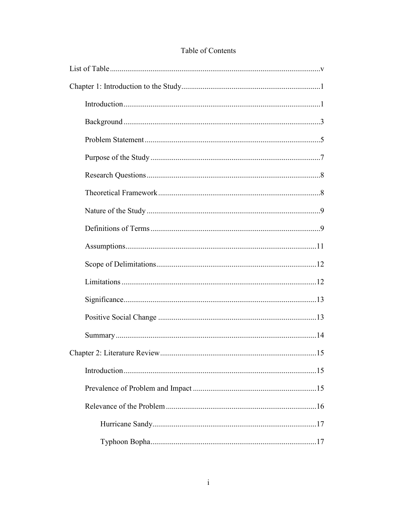## Table of Contents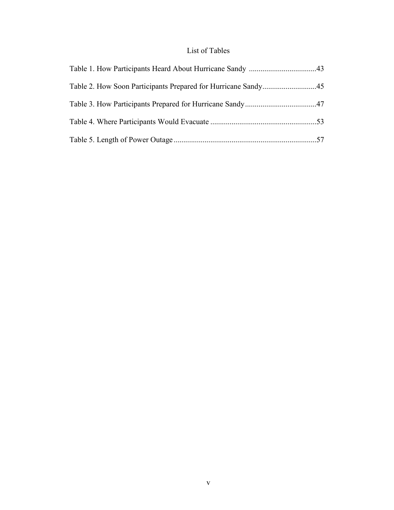## List of Tables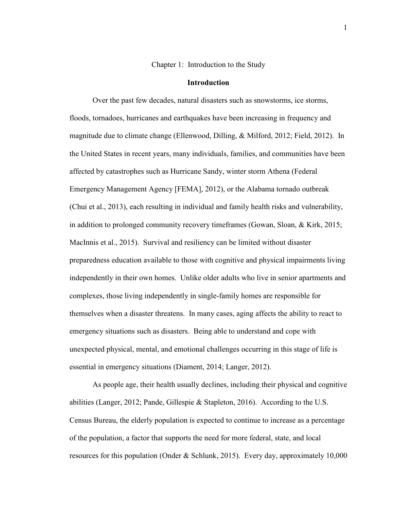Chapter 1: Introduction to the Study

#### **Introduction**

 Over the past few decades, natural disasters such as snowstorms, ice storms, floods, tornadoes, hurricanes and earthquakes have been increasing in frequency and magnitude due to climate change (Ellenwood, Dilling, & Milford, 2012; Field, 2012). In the United States in recent years, many individuals, families, and communities have been affected by catastrophes such as Hurricane Sandy, winter storm Athena (Federal Emergency Management Agency [FEMA], 2012), or the Alabama tornado outbreak (Chui et al., 2013), each resulting in individual and family health risks and vulnerability, in addition to prolonged community recovery timeframes (Gowan, Sloan, & Kirk, 2015; MacInnis et al., 2015). Survival and resiliency can be limited without disaster preparedness education available to those with cognitive and physical impairments living independently in their own homes. Unlike older adults who live in senior apartments and complexes, those living independently in single-family homes are responsible for themselves when a disaster threatens. In many cases, aging affects the ability to react to emergency situations such as disasters. Being able to understand and cope with unexpected physical, mental, and emotional challenges occurring in this stage of life is essential in emergency situations (Diament, 2014; Langer, 2012).

 As people age, their health usually declines, including their physical and cognitive abilities (Langer, 2012; Pande, Gillespie & Stapleton, 2016). According to the U.S. Census Bureau, the elderly population is expected to continue to increase as a percentage of the population, a factor that supports the need for more federal, state, and local resources for this population (Onder & Schlunk, 2015). Every day, approximately 10,000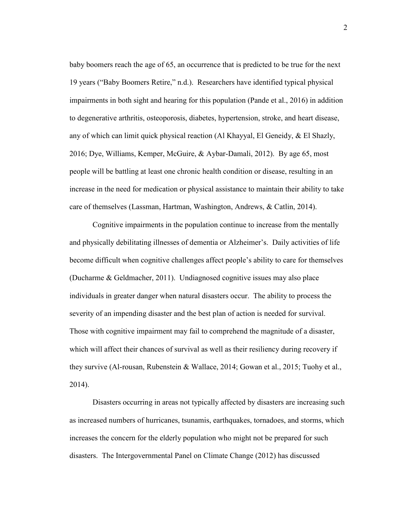baby boomers reach the age of 65, an occurrence that is predicted to be true for the next 19 years ("Baby Boomers Retire," n.d.). Researchers have identified typical physical impairments in both sight and hearing for this population (Pande et al., 2016) in addition to degenerative arthritis, osteoporosis, diabetes, hypertension, stroke, and heart disease, any of which can limit quick physical reaction (Al Khayyal, El Geneidy, & El Shazly, 2016; Dye, Williams, Kemper, McGuire, & Aybar-Damali, 2012). By age 65, most people will be battling at least one chronic health condition or disease, resulting in an increase in the need for medication or physical assistance to maintain their ability to take care of themselves (Lassman, Hartman, Washington, Andrews, & Catlin, 2014).

Cognitive impairments in the population continue to increase from the mentally and physically debilitating illnesses of dementia or Alzheimer's. Daily activities of life become difficult when cognitive challenges affect people's ability to care for themselves (Ducharme & Geldmacher, 2011). Undiagnosed cognitive issues may also place individuals in greater danger when natural disasters occur. The ability to process the severity of an impending disaster and the best plan of action is needed for survival. Those with cognitive impairment may fail to comprehend the magnitude of a disaster, which will affect their chances of survival as well as their resiliency during recovery if they survive (Al-rousan, Rubenstein & Wallace, 2014; Gowan et al., 2015; Tuohy et al., 2014).

 Disasters occurring in areas not typically affected by disasters are increasing such as increased numbers of hurricanes, tsunamis, earthquakes, tornadoes, and storms, which increases the concern for the elderly population who might not be prepared for such disasters. The Intergovernmental Panel on Climate Change (2012) has discussed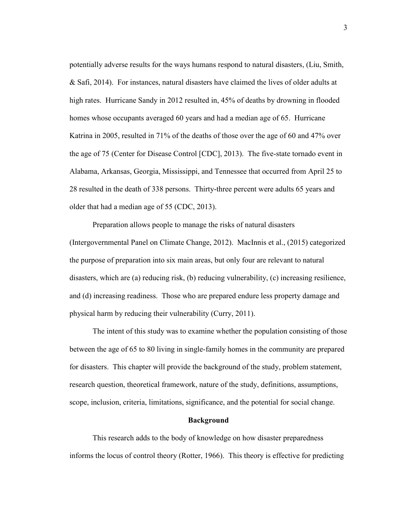potentially adverse results for the ways humans respond to natural disasters, (Liu, Smith, & Safi, 2014). For instances, natural disasters have claimed the lives of older adults at high rates. Hurricane Sandy in 2012 resulted in, 45% of deaths by drowning in flooded homes whose occupants averaged 60 years and had a median age of 65. Hurricane Katrina in 2005, resulted in 71% of the deaths of those over the age of 60 and 47% over the age of 75 (Center for Disease Control [CDC], 2013). The five-state tornado event in Alabama, Arkansas, Georgia, Mississippi, and Tennessee that occurred from April 25 to 28 resulted in the death of 338 persons. Thirty-three percent were adults 65 years and older that had a median age of 55 (CDC, 2013).

Preparation allows people to manage the risks of natural disasters (Intergovernmental Panel on Climate Change, 2012). MacInnis et al., (2015) categorized the purpose of preparation into six main areas, but only four are relevant to natural disasters, which are (a) reducing risk, (b) reducing vulnerability, (c) increasing resilience, and (d) increasing readiness. Those who are prepared endure less property damage and physical harm by reducing their vulnerability (Curry, 2011).

 The intent of this study was to examine whether the population consisting of those between the age of 65 to 80 living in single-family homes in the community are prepared for disasters. This chapter will provide the background of the study, problem statement, research question, theoretical framework, nature of the study, definitions, assumptions, scope, inclusion, criteria, limitations, significance, and the potential for social change.

#### **Background**

 This research adds to the body of knowledge on how disaster preparedness informs the locus of control theory (Rotter, 1966). This theory is effective for predicting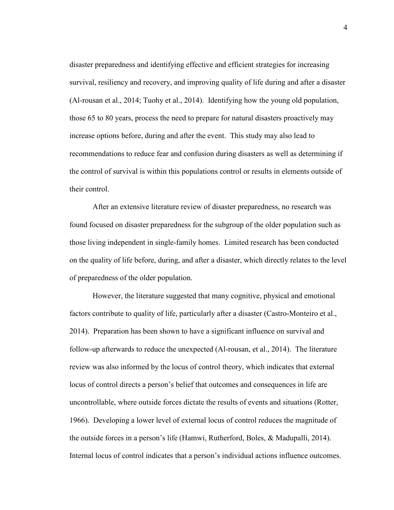disaster preparedness and identifying effective and efficient strategies for increasing survival, resiliency and recovery, and improving quality of life during and after a disaster (Al-rousan et al., 2014; Tuohy et al., 2014). Identifying how the young old population, those 65 to 80 years, process the need to prepare for natural disasters proactively may increase options before, during and after the event. This study may also lead to recommendations to reduce fear and confusion during disasters as well as determining if the control of survival is within this populations control or results in elements outside of their control.

After an extensive literature review of disaster preparedness, no research was found focused on disaster preparedness for the subgroup of the older population such as those living independent in single-family homes. Limited research has been conducted on the quality of life before, during, and after a disaster, which directly relates to the level of preparedness of the older population.

 However, the literature suggested that many cognitive, physical and emotional factors contribute to quality of life, particularly after a disaster (Castro-Monteiro et al., 2014). Preparation has been shown to have a significant influence on survival and follow-up afterwards to reduce the unexpected (Al-rousan, et al., 2014). The literature review was also informed by the locus of control theory, which indicates that external locus of control directs a person's belief that outcomes and consequences in life are uncontrollable, where outside forces dictate the results of events and situations (Rotter, 1966). Developing a lower level of external locus of control reduces the magnitude of the outside forces in a person's life (Hamwi, Rutherford, Boles, & Madupalli, 2014). Internal locus of control indicates that a person's individual actions influence outcomes.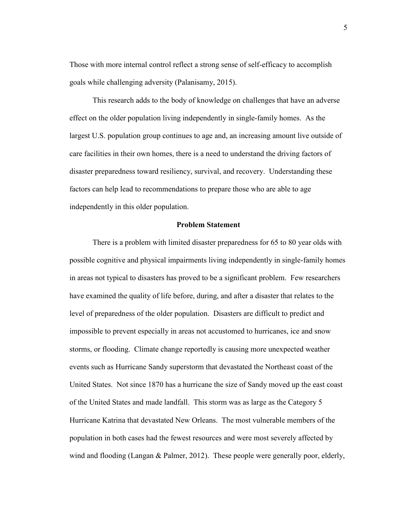Those with more internal control reflect a strong sense of self-efficacy to accomplish goals while challenging adversity (Palanisamy, 2015).

This research adds to the body of knowledge on challenges that have an adverse effect on the older population living independently in single-family homes. As the largest U.S. population group continues to age and, an increasing amount live outside of care facilities in their own homes, there is a need to understand the driving factors of disaster preparedness toward resiliency, survival, and recovery. Understanding these factors can help lead to recommendations to prepare those who are able to age independently in this older population.

#### **Problem Statement**

There is a problem with limited disaster preparedness for 65 to 80 year olds with possible cognitive and physical impairments living independently in single-family homes in areas not typical to disasters has proved to be a significant problem. Few researchers have examined the quality of life before, during, and after a disaster that relates to the level of preparedness of the older population. Disasters are difficult to predict and impossible to prevent especially in areas not accustomed to hurricanes, ice and snow storms, or flooding. Climate change reportedly is causing more unexpected weather events such as Hurricane Sandy superstorm that devastated the Northeast coast of the United States. Not since 1870 has a hurricane the size of Sandy moved up the east coast of the United States and made landfall. This storm was as large as the Category 5 Hurricane Katrina that devastated New Orleans. The most vulnerable members of the population in both cases had the fewest resources and were most severely affected by wind and flooding (Langan & Palmer, 2012). These people were generally poor, elderly,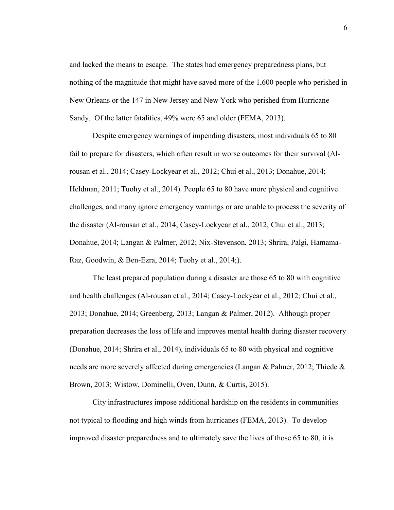and lacked the means to escape. The states had emergency preparedness plans, but nothing of the magnitude that might have saved more of the 1,600 people who perished in New Orleans or the 147 in New Jersey and New York who perished from Hurricane Sandy. Of the latter fatalities, 49% were 65 and older (FEMA, 2013).

Despite emergency warnings of impending disasters, most individuals 65 to 80 fail to prepare for disasters, which often result in worse outcomes for their survival (Alrousan et al., 2014; Casey-Lockyear et al., 2012; Chui et al., 2013; Donahue, 2014; Heldman, 2011; Tuohy et al., 2014). People 65 to 80 have more physical and cognitive challenges, and many ignore emergency warnings or are unable to process the severity of the disaster (Al-rousan et al., 2014; Casey-Lockyear et al., 2012; Chui et al., 2013; Donahue, 2014; Langan & Palmer, 2012; Nix-Stevenson, 2013; Shrira, Palgi, Hamama-Raz, Goodwin, & Ben-Ezra, 2014; Tuohy et al., 2014;).

 The least prepared population during a disaster are those 65 to 80 with cognitive and health challenges (Al-rousan et al., 2014; Casey-Lockyear et al., 2012; Chui et al., 2013; Donahue, 2014; Greenberg, 2013; Langan & Palmer, 2012). Although proper preparation decreases the loss of life and improves mental health during disaster recovery (Donahue, 2014; Shrira et al., 2014), individuals 65 to 80 with physical and cognitive needs are more severely affected during emergencies (Langan & Palmer, 2012; Thiede & Brown, 2013; Wistow, Dominelli, Oven, Dunn, & Curtis, 2015).

City infrastructures impose additional hardship on the residents in communities not typical to flooding and high winds from hurricanes (FEMA, 2013). To develop improved disaster preparedness and to ultimately save the lives of those 65 to 80, it is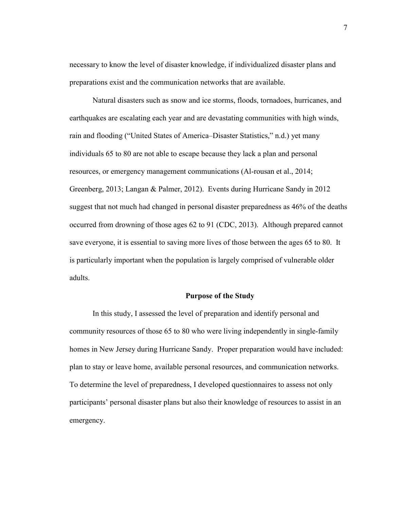necessary to know the level of disaster knowledge, if individualized disaster plans and preparations exist and the communication networks that are available.

Natural disasters such as snow and ice storms, floods, tornadoes, hurricanes, and earthquakes are escalating each year and are devastating communities with high winds, rain and flooding ("United States of America–Disaster Statistics," n.d.) yet many individuals 65 to 80 are not able to escape because they lack a plan and personal resources, or emergency management communications (Al-rousan et al., 2014; Greenberg, 2013; Langan & Palmer, 2012). Events during Hurricane Sandy in 2012 suggest that not much had changed in personal disaster preparedness as 46% of the deaths occurred from drowning of those ages 62 to 91 (CDC, 2013). Although prepared cannot save everyone, it is essential to saving more lives of those between the ages 65 to 80. It is particularly important when the population is largely comprised of vulnerable older adults.

#### **Purpose of the Study**

 In this study, I assessed the level of preparation and identify personal and community resources of those 65 to 80 who were living independently in single-family homes in New Jersey during Hurricane Sandy. Proper preparation would have included: plan to stay or leave home, available personal resources, and communication networks. To determine the level of preparedness, I developed questionnaires to assess not only participants' personal disaster plans but also their knowledge of resources to assist in an emergency.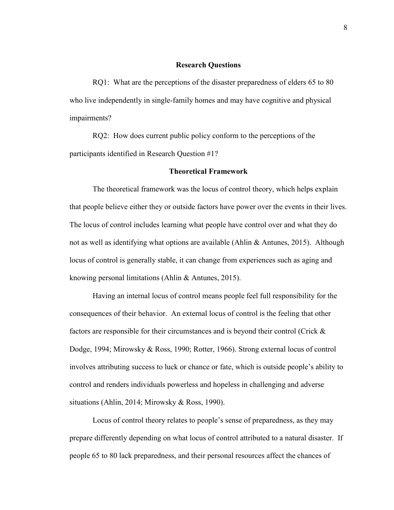#### **Research Questions**

RQ1: What are the perceptions of the disaster preparedness of elders 65 to 80 who live independently in single-family homes and may have cognitive and physical impairments?

RO2: How does current public policy conform to the perceptions of the participants identified in Research Question #1?

#### **Theoretical Framework**

The theoretical framework was the locus of control theory, which helps explain that people believe either they or outside factors have power over the events in their lives. The locus of control includes learning what people have control over and what they do not as well as identifying what options are available (Ahlin & Antunes, 2015). Although locus of control is generally stable, it can change from experiences such as aging and knowing personal limitations (Ahlin & Antunes, 2015).

Having an internal locus of control means people feel full responsibility for the consequences of their behavior. An external locus of control is the feeling that other factors are responsible for their circumstances and is beyond their control (Crick & Dodge, 1994; Mirowsky & Ross, 1990; Rotter, 1966). Strong external locus of control involves attributing success to luck or chance or fate, which is outside people's ability to control and renders individuals powerless and hopeless in challenging and adverse situations (Ahlin, 2014; Mirowsky & Ross, 1990).

Locus of control theory relates to people's sense of preparedness, as they may prepare differently depending on what locus of control attributed to a natural disaster. If people 65 to 80 lack preparedness, and their personal resources affect the chances of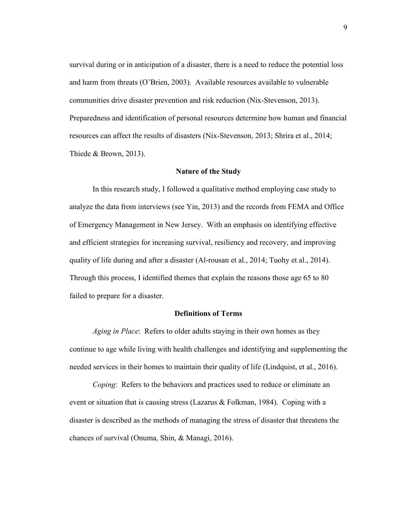survival during or in anticipation of a disaster, there is a need to reduce the potential loss and harm from threats (O'Brien, 2003). Available resources available to vulnerable communities drive disaster prevention and risk reduction (Nix-Stevenson, 2013). Preparedness and identification of personal resources determine how human and financial resources can affect the results of disasters (Nix-Stevenson, 2013; Shrira et al., 2014; Thiede & Brown, 2013).

#### **Nature of the Study**

 In this research study, I followed a qualitative method employing case study to analyze the data from interviews (see Yin, 2013) and the records from FEMA and Office of Emergency Management in New Jersey. With an emphasis on identifying effective and efficient strategies for increasing survival, resiliency and recovery, and improving quality of life during and after a disaster (Al-rousan et al., 2014; Tuohy et al., 2014). Through this process, I identified themes that explain the reasons those age 65 to 80 failed to prepare for a disaster.

### **Definitions of Terms**

*Aging in Place*: Refers to older adults staying in their own homes as they continue to age while living with health challenges and identifying and supplementing the needed services in their homes to maintain their quality of life (Lindquist, et al., 2016).

*Coping*: Refers to the behaviors and practices used to reduce or eliminate an event or situation that is causing stress (Lazarus & Folkman, 1984). Coping with a disaster is described as the methods of managing the stress of disaster that threatens the chances of survival (Onuma, Shin, & Managi, 2016).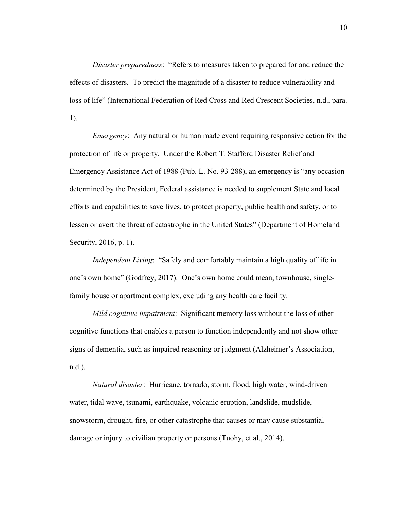*Disaster preparedness*: "Refers to measures taken to prepared for and reduce the effects of disasters. To predict the magnitude of a disaster to reduce vulnerability and loss of life" (International Federation of Red Cross and Red Crescent Societies, n.d., para. 1).

*Emergency*: Any natural or human made event requiring responsive action for the protection of life or property. Under the Robert T. Stafford Disaster Relief and Emergency Assistance Act of 1988 (Pub. L. No. 93-288), an emergency is "any occasion determined by the President, Federal assistance is needed to supplement State and local efforts and capabilities to save lives, to protect property, public health and safety, or to lessen or avert the threat of catastrophe in the United States" (Department of Homeland Security, 2016, p. 1).

*Independent Living*: "Safely and comfortably maintain a high quality of life in one's own home" (Godfrey, 2017). One's own home could mean, townhouse, singlefamily house or apartment complex, excluding any health care facility.

*Mild cognitive impairment*: Significant memory loss without the loss of other cognitive functions that enables a person to function independently and not show other signs of dementia, such as impaired reasoning or judgment (Alzheimer's Association, n.d.).

*Natural disaster*: Hurricane, tornado, storm, flood, high water, wind-driven water, tidal wave, tsunami, earthquake, volcanic eruption, landslide, mudslide, snowstorm, drought, fire, or other catastrophe that causes or may cause substantial damage or injury to civilian property or persons (Tuohy, et al., 2014).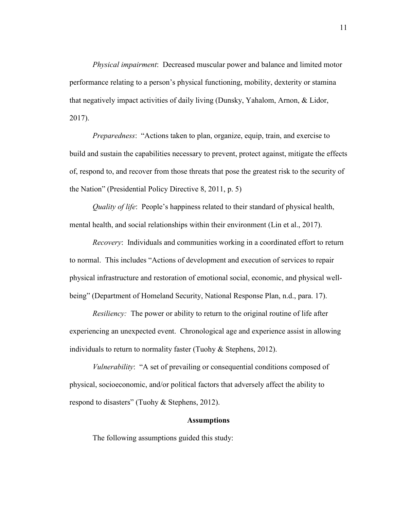*Physical impairment*: Decreased muscular power and balance and limited motor performance relating to a person's physical functioning, mobility, dexterity or stamina that negatively impact activities of daily living (Dunsky, Yahalom, Arnon, & Lidor, 2017).

*Preparedness*: "Actions taken to plan, organize, equip, train, and exercise to build and sustain the capabilities necessary to prevent, protect against, mitigate the effects of, respond to, and recover from those threats that pose the greatest risk to the security of the Nation" (Presidential Policy Directive 8, 2011, p. 5)

*Quality of life*: People's happiness related to their standard of physical health, mental health, and social relationships within their environment (Lin et al., 2017).

*Recovery*: Individuals and communities working in a coordinated effort to return to normal. This includes "Actions of development and execution of services to repair physical infrastructure and restoration of emotional social, economic, and physical wellbeing" (Department of Homeland Security, National Response Plan, n.d., para. 17).

*Resiliency:* The power or ability to return to the original routine of life after experiencing an unexpected event. Chronological age and experience assist in allowing individuals to return to normality faster (Tuohy & Stephens, 2012).

*Vulnerability*: "A set of prevailing or consequential conditions composed of physical, socioeconomic, and/or political factors that adversely affect the ability to respond to disasters" (Tuohy & Stephens, 2012).

#### **Assumptions**

The following assumptions guided this study: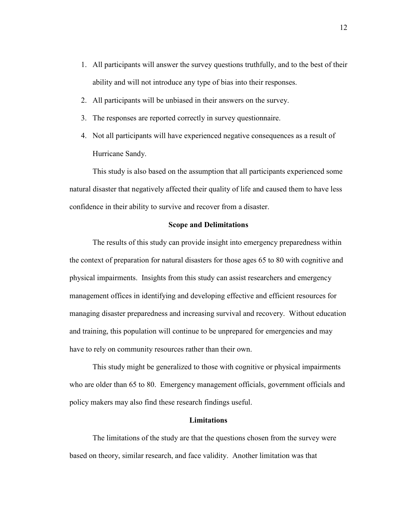- 1. All participants will answer the survey questions truthfully, and to the best of their ability and will not introduce any type of bias into their responses.
- 2. All participants will be unbiased in their answers on the survey.
- 3. The responses are reported correctly in survey questionnaire.
- 4. Not all participants will have experienced negative consequences as a result of Hurricane Sandy.

This study is also based on the assumption that all participants experienced some natural disaster that negatively affected their quality of life and caused them to have less confidence in their ability to survive and recover from a disaster.

#### **Scope and Delimitations**

 The results of this study can provide insight into emergency preparedness within the context of preparation for natural disasters for those ages 65 to 80 with cognitive and physical impairments. Insights from this study can assist researchers and emergency management offices in identifying and developing effective and efficient resources for managing disaster preparedness and increasing survival and recovery. Without education and training, this population will continue to be unprepared for emergencies and may have to rely on community resources rather than their own.

This study might be generalized to those with cognitive or physical impairments who are older than 65 to 80. Emergency management officials, government officials and policy makers may also find these research findings useful.

#### **Limitations**

 The limitations of the study are that the questions chosen from the survey were based on theory, similar research, and face validity. Another limitation was that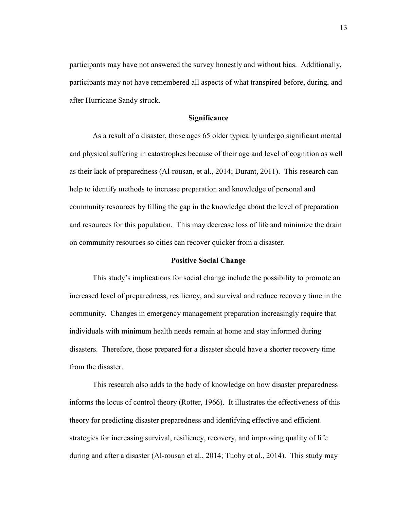participants may have not answered the survey honestly and without bias. Additionally, participants may not have remembered all aspects of what transpired before, during, and after Hurricane Sandy struck.

#### **Significance**

 As a result of a disaster, those ages 65 older typically undergo significant mental and physical suffering in catastrophes because of their age and level of cognition as well as their lack of preparedness (Al-rousan, et al., 2014; Durant, 2011). This research can help to identify methods to increase preparation and knowledge of personal and community resources by filling the gap in the knowledge about the level of preparation and resources for this population. This may decrease loss of life and minimize the drain on community resources so cities can recover quicker from a disaster.

#### **Positive Social Change**

 This study's implications for social change include the possibility to promote an increased level of preparedness, resiliency, and survival and reduce recovery time in the community. Changes in emergency management preparation increasingly require that individuals with minimum health needs remain at home and stay informed during disasters. Therefore, those prepared for a disaster should have a shorter recovery time from the disaster.

 This research also adds to the body of knowledge on how disaster preparedness informs the locus of control theory (Rotter, 1966). It illustrates the effectiveness of this theory for predicting disaster preparedness and identifying effective and efficient strategies for increasing survival, resiliency, recovery, and improving quality of life during and after a disaster (Al-rousan et al., 2014; Tuohy et al., 2014). This study may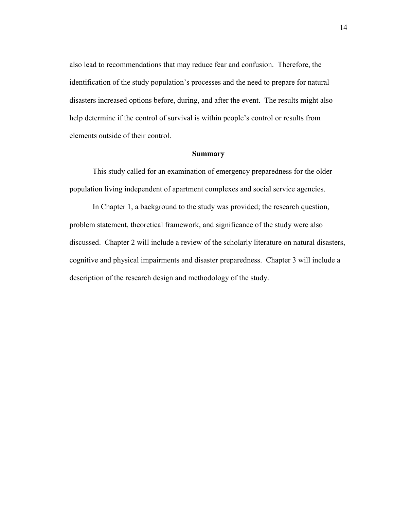also lead to recommendations that may reduce fear and confusion. Therefore, the identification of the study population's processes and the need to prepare for natural disasters increased options before, during, and after the event. The results might also help determine if the control of survival is within people's control or results from elements outside of their control.

#### **Summary**

This study called for an examination of emergency preparedness for the older population living independent of apartment complexes and social service agencies.

In Chapter 1, a background to the study was provided; the research question, problem statement, theoretical framework, and significance of the study were also discussed. Chapter 2 will include a review of the scholarly literature on natural disasters, cognitive and physical impairments and disaster preparedness. Chapter 3 will include a description of the research design and methodology of the study.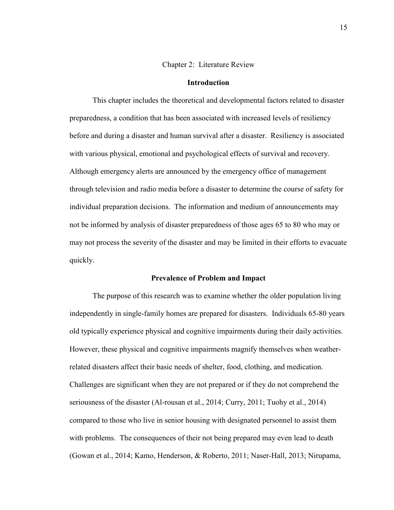#### Chapter 2: Literature Review

#### **Introduction**

This chapter includes the theoretical and developmental factors related to disaster preparedness, a condition that has been associated with increased levels of resiliency before and during a disaster and human survival after a disaster. Resiliency is associated with various physical, emotional and psychological effects of survival and recovery. Although emergency alerts are announced by the emergency office of management through television and radio media before a disaster to determine the course of safety for individual preparation decisions. The information and medium of announcements may not be informed by analysis of disaster preparedness of those ages 65 to 80 who may or may not process the severity of the disaster and may be limited in their efforts to evacuate quickly.

#### **Prevalence of Problem and Impact**

 The purpose of this research was to examine whether the older population living independently in single-family homes are prepared for disasters. Individuals 65-80 years old typically experience physical and cognitive impairments during their daily activities. However, these physical and cognitive impairments magnify themselves when weatherrelated disasters affect their basic needs of shelter, food, clothing, and medication. Challenges are significant when they are not prepared or if they do not comprehend the seriousness of the disaster (Al-rousan et al., 2014; Curry, 2011; Tuohy et al., 2014) compared to those who live in senior housing with designated personnel to assist them with problems. The consequences of their not being prepared may even lead to death (Gowan et al., 2014; Kamo, Henderson, & Roberto, 2011; Naser-Hall, 2013; Nirupama,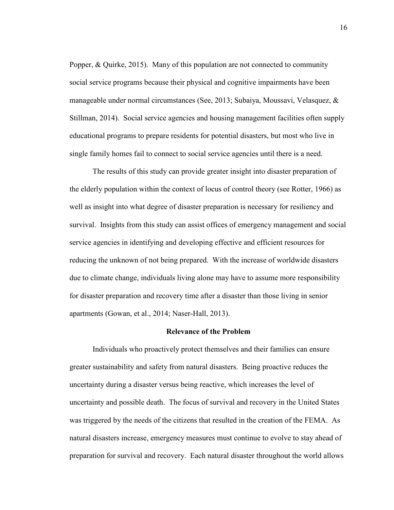Popper, & Quirke, 2015). Many of this population are not connected to community social service programs because their physical and cognitive impairments have been manageable under normal circumstances (See, 2013; Subaiya, Moussavi, Velasquez, & Stillman, 2014). Social service agencies and housing management facilities often supply educational programs to prepare residents for potential disasters, but most who live in single family homes fail to connect to social service agencies until there is a need.

 The results of this study can provide greater insight into disaster preparation of the elderly population within the context of locus of control theory (see Rotter, 1966) as well as insight into what degree of disaster preparation is necessary for resiliency and survival. Insights from this study can assist offices of emergency management and social service agencies in identifying and developing effective and efficient resources for reducing the unknown of not being prepared. With the increase of worldwide disasters due to climate change, individuals living alone may have to assume more responsibility for disaster preparation and recovery time after a disaster than those living in senior apartments (Gowan, et al., 2014; Naser-Hall, 2013).

#### **Relevance of the Problem**

 Individuals who proactively protect themselves and their families can ensure greater sustainability and safety from natural disasters. Being proactive reduces the uncertainty during a disaster versus being reactive, which increases the level of uncertainty and possible death. The focus of survival and recovery in the United States was triggered by the needs of the citizens that resulted in the creation of the FEMA. As natural disasters increase, emergency measures must continue to evolve to stay ahead of preparation for survival and recovery. Each natural disaster throughout the world allows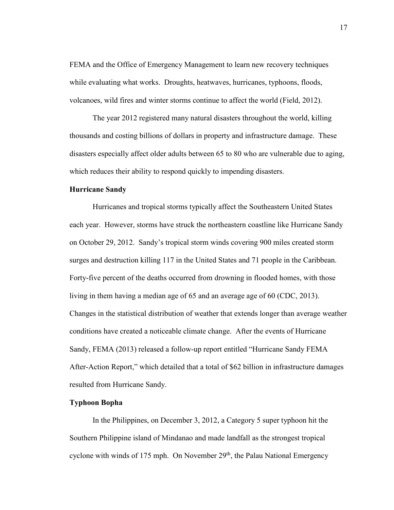FEMA and the Office of Emergency Management to learn new recovery techniques while evaluating what works. Droughts, heatwaves, hurricanes, typhoons, floods, volcanoes, wild fires and winter storms continue to affect the world (Field, 2012).

 The year 2012 registered many natural disasters throughout the world, killing thousands and costing billions of dollars in property and infrastructure damage. These disasters especially affect older adults between 65 to 80 who are vulnerable due to aging, which reduces their ability to respond quickly to impending disasters.

#### **Hurricane Sandy**

 Hurricanes and tropical storms typically affect the Southeastern United States each year. However, storms have struck the northeastern coastline like Hurricane Sandy on October 29, 2012. Sandy's tropical storm winds covering 900 miles created storm surges and destruction killing 117 in the United States and 71 people in the Caribbean. Forty-five percent of the deaths occurred from drowning in flooded homes, with those living in them having a median age of 65 and an average age of 60 (CDC, 2013). Changes in the statistical distribution of weather that extends longer than average weather conditions have created a noticeable climate change. After the events of Hurricane Sandy, FEMA (2013) released a follow-up report entitled "Hurricane Sandy FEMA After-Action Report," which detailed that a total of \$62 billion in infrastructure damages resulted from Hurricane Sandy.

#### **Typhoon Bopha**

In the Philippines, on December 3, 2012, a Category 5 super typhoon hit the Southern Philippine island of Mindanao and made landfall as the strongest tropical cyclone with winds of 175 mph. On November  $29<sup>th</sup>$ , the Palau National Emergency 17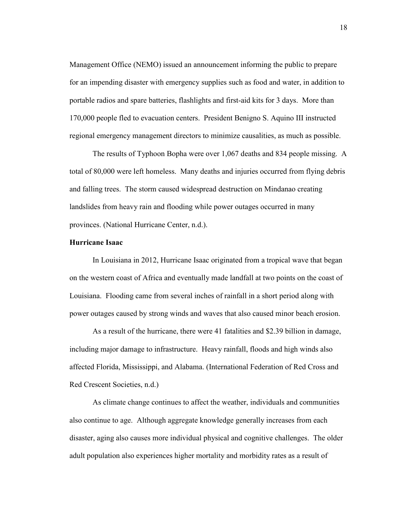Management Office (NEMO) issued an announcement informing the public to prepare for an impending disaster with emergency supplies such as food and water, in addition to portable radios and spare batteries, flashlights and first-aid kits for 3 days. More than 170,000 people fled to evacuation centers. President Benigno S. Aquino III instructed regional emergency management directors to minimize causalities, as much as possible.

 The results of Typhoon Bopha were over 1,067 deaths and 834 people missing. A total of 80,000 were left homeless. Many deaths and injuries occurred from flying debris and falling trees. The storm caused widespread destruction on Mindanao creating landslides from heavy rain and flooding while power outages occurred in many provinces. (National Hurricane Center, n.d.).

#### **Hurricane Isaac**

 In Louisiana in 2012, Hurricane Isaac originated from a tropical wave that began on the western coast of Africa and eventually made landfall at two points on the coast of Louisiana. Flooding came from several inches of rainfall in a short period along with power outages caused by strong winds and waves that also caused minor beach erosion.

As a result of the hurricane, there were 41 fatalities and \$2.39 billion in damage, including major damage to infrastructure. Heavy rainfall, floods and high winds also affected Florida, Mississippi, and Alabama. (International Federation of Red Cross and Red Crescent Societies, n.d.)

As climate change continues to affect the weather, individuals and communities also continue to age. Although aggregate knowledge generally increases from each disaster, aging also causes more individual physical and cognitive challenges. The older adult population also experiences higher mortality and morbidity rates as a result of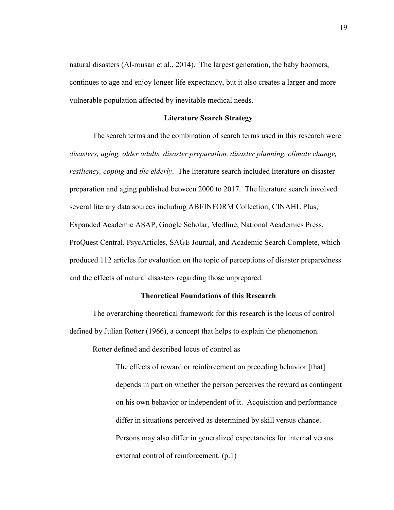natural disasters (Al-rousan et al., 2014). The largest generation, the baby boomers, continues to age and enjoy longer life expectancy, but it also creates a larger and more vulnerable population affected by inevitable medical needs.

#### **Literature Search Strategy**

 The search terms and the combination of search terms used in this research were *disasters, aging, older adults, disaster preparation, disaster planning, climate change, resiliency, coping* and *the elderly*. The literature search included literature on disaster preparation and aging published between 2000 to 2017. The literature search involved several literary data sources including ABI/INFORM Collection, CINAHL Plus, Expanded Academic ASAP, Google Scholar, Medline, National Academies Press, ProQuest Central, PsycArticles, SAGE Journal, and Academic Search Complete, which produced 112 articles for evaluation on the topic of perceptions of disaster preparedness and the effects of natural disasters regarding those unprepared.

#### **Theoretical Foundations of this Research**

 The overarching theoretical framework for this research is the locus of control defined by Julian Rotter (1966), a concept that helps to explain the phenomenon.

Rotter defined and described locus of control as

The effects of reward or reinforcement on preceding behavior [that] depends in part on whether the person perceives the reward as contingent on his own behavior or independent of it. Acquisition and performance differ in situations perceived as determined by skill versus chance. Persons may also differ in generalized expectancies for internal versus external control of reinforcement. (p.1)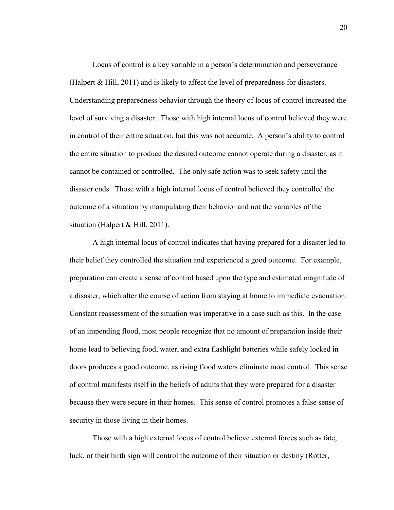Locus of control is a key variable in a person's determination and perseverance (Halpert & Hill, 2011) and is likely to affect the level of preparedness for disasters. Understanding preparedness behavior through the theory of locus of control increased the level of surviving a disaster. Those with high internal locus of control believed they were in control of their entire situation, but this was not accurate. A person's ability to control the entire situation to produce the desired outcome cannot operate during a disaster, as it cannot be contained or controlled. The only safe action was to seek safety until the disaster ends. Those with a high internal locus of control believed they controlled the outcome of a situation by manipulating their behavior and not the variables of the situation (Halpert & Hill, 2011).

 A high internal locus of control indicates that having prepared for a disaster led to their belief they controlled the situation and experienced a good outcome. For example, preparation can create a sense of control based upon the type and estimated magnitude of a disaster, which alter the course of action from staying at home to immediate evacuation. Constant reassessment of the situation was imperative in a case such as this. In the case of an impending flood, most people recognize that no amount of preparation inside their home lead to believing food, water, and extra flashlight batteries while safely locked in doors produces a good outcome, as rising flood waters eliminate most control. This sense of control manifests itself in the beliefs of adults that they were prepared for a disaster because they were secure in their homes. This sense of control promotes a false sense of security in those living in their homes.

Those with a high external locus of control believe external forces such as fate, luck, or their birth sign will control the outcome of their situation or destiny (Rotter,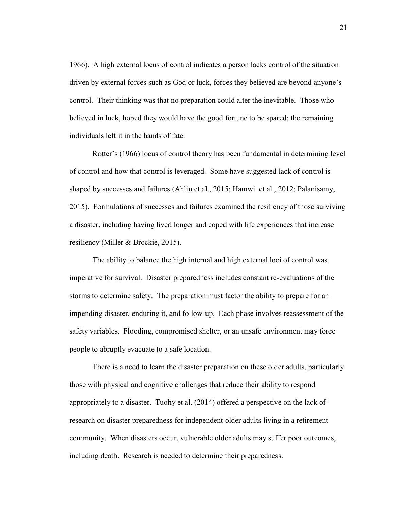1966). A high external locus of control indicates a person lacks control of the situation driven by external forces such as God or luck, forces they believed are beyond anyone's control. Their thinking was that no preparation could alter the inevitable. Those who believed in luck, hoped they would have the good fortune to be spared; the remaining individuals left it in the hands of fate.

Rotter's (1966) locus of control theory has been fundamental in determining level of control and how that control is leveraged. Some have suggested lack of control is shaped by successes and failures (Ahlin et al., 2015; Hamwi et al., 2012; Palanisamy, 2015). Formulations of successes and failures examined the resiliency of those surviving a disaster, including having lived longer and coped with life experiences that increase resiliency (Miller & Brockie, 2015).

The ability to balance the high internal and high external loci of control was imperative for survival. Disaster preparedness includes constant re-evaluations of the storms to determine safety. The preparation must factor the ability to prepare for an impending disaster, enduring it, and follow-up. Each phase involves reassessment of the safety variables. Flooding, compromised shelter, or an unsafe environment may force people to abruptly evacuate to a safe location.

There is a need to learn the disaster preparation on these older adults, particularly those with physical and cognitive challenges that reduce their ability to respond appropriately to a disaster. Tuohy et al. (2014) offered a perspective on the lack of research on disaster preparedness for independent older adults living in a retirement community. When disasters occur, vulnerable older adults may suffer poor outcomes, including death. Research is needed to determine their preparedness.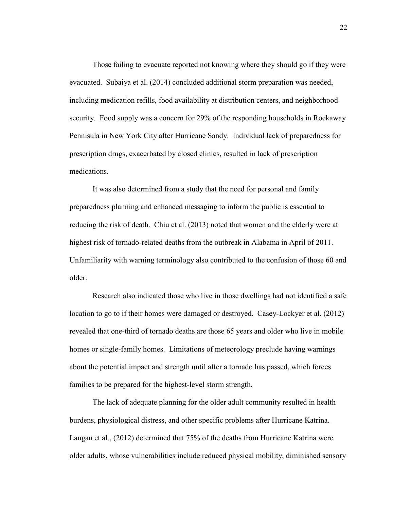Those failing to evacuate reported not knowing where they should go if they were evacuated. Subaiya et al. (2014) concluded additional storm preparation was needed, including medication refills, food availability at distribution centers, and neighborhood security. Food supply was a concern for 29% of the responding households in Rockaway Pennisula in New York City after Hurricane Sandy. Individual lack of preparedness for prescription drugs, exacerbated by closed clinics, resulted in lack of prescription medications.

It was also determined from a study that the need for personal and family preparedness planning and enhanced messaging to inform the public is essential to reducing the risk of death. Chiu et al. (2013) noted that women and the elderly were at highest risk of tornado-related deaths from the outbreak in Alabama in April of 2011. Unfamiliarity with warning terminology also contributed to the confusion of those 60 and older.

Research also indicated those who live in those dwellings had not identified a safe location to go to if their homes were damaged or destroyed. Casey-Lockyer et al. (2012) revealed that one-third of tornado deaths are those 65 years and older who live in mobile homes or single-family homes. Limitations of meteorology preclude having warnings about the potential impact and strength until after a tornado has passed, which forces families to be prepared for the highest-level storm strength.

The lack of adequate planning for the older adult community resulted in health burdens, physiological distress, and other specific problems after Hurricane Katrina. Langan et al., (2012) determined that 75% of the deaths from Hurricane Katrina were older adults, whose vulnerabilities include reduced physical mobility, diminished sensory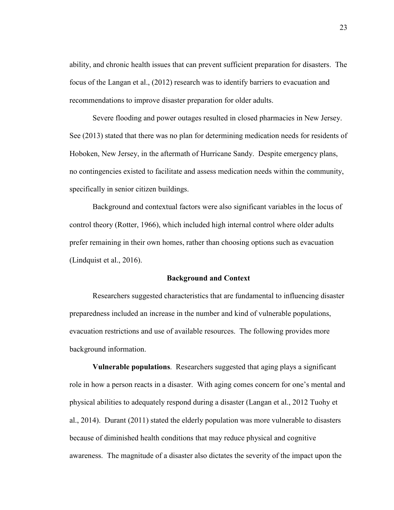ability, and chronic health issues that can prevent sufficient preparation for disasters. The focus of the Langan et al., (2012) research was to identify barriers to evacuation and recommendations to improve disaster preparation for older adults.

Severe flooding and power outages resulted in closed pharmacies in New Jersey. See (2013) stated that there was no plan for determining medication needs for residents of Hoboken, New Jersey, in the aftermath of Hurricane Sandy. Despite emergency plans, no contingencies existed to facilitate and assess medication needs within the community, specifically in senior citizen buildings.

Background and contextual factors were also significant variables in the locus of control theory (Rotter, 1966), which included high internal control where older adults prefer remaining in their own homes, rather than choosing options such as evacuation (Lindquist et al., 2016).

#### **Background and Context**

 Researchers suggested characteristics that are fundamental to influencing disaster preparedness included an increase in the number and kind of vulnerable populations, evacuation restrictions and use of available resources. The following provides more background information.

**Vulnerable populations**. Researchers suggested that aging plays a significant role in how a person reacts in a disaster. With aging comes concern for one's mental and physical abilities to adequately respond during a disaster (Langan et al., 2012 Tuohy et al., 2014). Durant (2011) stated the elderly population was more vulnerable to disasters because of diminished health conditions that may reduce physical and cognitive awareness. The magnitude of a disaster also dictates the severity of the impact upon the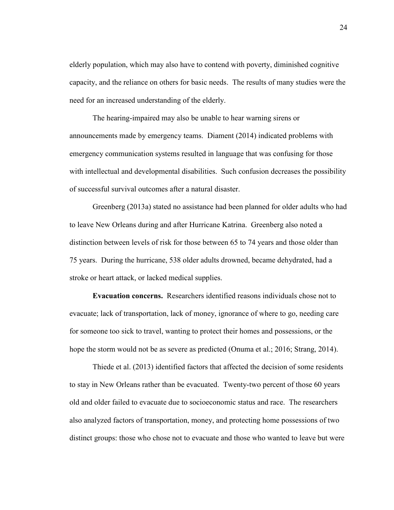elderly population, which may also have to contend with poverty, diminished cognitive capacity, and the reliance on others for basic needs. The results of many studies were the need for an increased understanding of the elderly.

The hearing-impaired may also be unable to hear warning sirens or announcements made by emergency teams. Diament (2014) indicated problems with emergency communication systems resulted in language that was confusing for those with intellectual and developmental disabilities. Such confusion decreases the possibility of successful survival outcomes after a natural disaster.

Greenberg (2013a) stated no assistance had been planned for older adults who had to leave New Orleans during and after Hurricane Katrina. Greenberg also noted a distinction between levels of risk for those between 65 to 74 years and those older than 75 years. During the hurricane, 538 older adults drowned, became dehydrated, had a stroke or heart attack, or lacked medical supplies.

**Evacuation concerns.** Researchers identified reasons individuals chose not to evacuate; lack of transportation, lack of money, ignorance of where to go, needing care for someone too sick to travel, wanting to protect their homes and possessions, or the hope the storm would not be as severe as predicted (Onuma et al.; 2016; Strang, 2014).

Thiede et al. (2013) identified factors that affected the decision of some residents to stay in New Orleans rather than be evacuated. Twenty-two percent of those 60 years old and older failed to evacuate due to socioeconomic status and race. The researchers also analyzed factors of transportation, money, and protecting home possessions of two distinct groups: those who chose not to evacuate and those who wanted to leave but were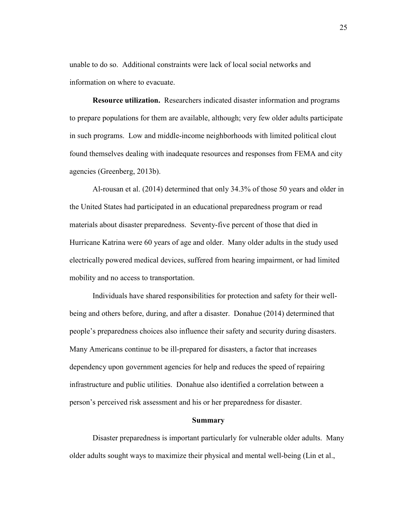unable to do so. Additional constraints were lack of local social networks and information on where to evacuate.

**Resource utilization.** Researchers indicated disaster information and programs to prepare populations for them are available, although; very few older adults participate in such programs. Low and middle-income neighborhoods with limited political clout found themselves dealing with inadequate resources and responses from FEMA and city agencies (Greenberg, 2013b).

Al-rousan et al. (2014) determined that only 34.3% of those 50 years and older in the United States had participated in an educational preparedness program or read materials about disaster preparedness. Seventy-five percent of those that died in Hurricane Katrina were 60 years of age and older. Many older adults in the study used electrically powered medical devices, suffered from hearing impairment, or had limited mobility and no access to transportation.

Individuals have shared responsibilities for protection and safety for their wellbeing and others before, during, and after a disaster. Donahue (2014) determined that people's preparedness choices also influence their safety and security during disasters. Many Americans continue to be ill-prepared for disasters, a factor that increases dependency upon government agencies for help and reduces the speed of repairing infrastructure and public utilities. Donahue also identified a correlation between a person's perceived risk assessment and his or her preparedness for disaster.

#### **Summary**

 Disaster preparedness is important particularly for vulnerable older adults. Many older adults sought ways to maximize their physical and mental well-being (Lin et al.,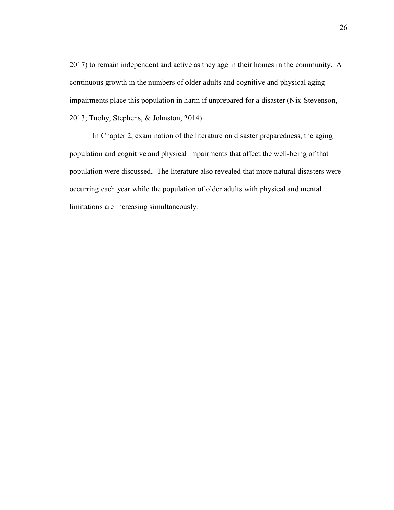2017) to remain independent and active as they age in their homes in the community. A continuous growth in the numbers of older adults and cognitive and physical aging impairments place this population in harm if unprepared for a disaster (Nix-Stevenson, 2013; Tuohy, Stephens, & Johnston, 2014).

In Chapter 2, examination of the literature on disaster preparedness, the aging population and cognitive and physical impairments that affect the well-being of that population were discussed. The literature also revealed that more natural disasters were occurring each year while the population of older adults with physical and mental limitations are increasing simultaneously.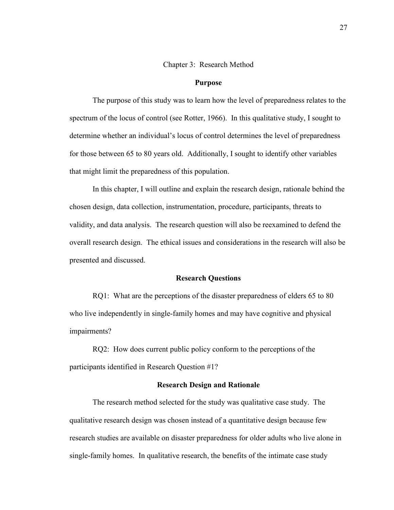#### Chapter 3: Research Method

#### **Purpose**

The purpose of this study was to learn how the level of preparedness relates to the spectrum of the locus of control (see Rotter, 1966). In this qualitative study, I sought to determine whether an individual's locus of control determines the level of preparedness for those between 65 to 80 years old. Additionally, I sought to identify other variables that might limit the preparedness of this population.

 In this chapter, I will outline and explain the research design, rationale behind the chosen design, data collection, instrumentation, procedure, participants, threats to validity, and data analysis. The research question will also be reexamined to defend the overall research design. The ethical issues and considerations in the research will also be presented and discussed.

## **Research Questions**

RQ1: What are the perceptions of the disaster preparedness of elders 65 to 80 who live independently in single-family homes and may have cognitive and physical impairments?

RQ2: How does current public policy conform to the perceptions of the participants identified in Research Question #1?

## **Research Design and Rationale**

 The research method selected for the study was qualitative case study. The qualitative research design was chosen instead of a quantitative design because few research studies are available on disaster preparedness for older adults who live alone in single-family homes. In qualitative research, the benefits of the intimate case study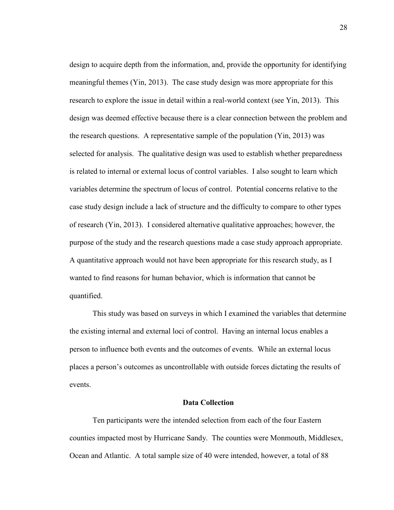design to acquire depth from the information, and, provide the opportunity for identifying meaningful themes (Yin, 2013). The case study design was more appropriate for this research to explore the issue in detail within a real-world context (see Yin, 2013). This design was deemed effective because there is a clear connection between the problem and the research questions. A representative sample of the population (Yin, 2013) was selected for analysis. The qualitative design was used to establish whether preparedness is related to internal or external locus of control variables. I also sought to learn which variables determine the spectrum of locus of control. Potential concerns relative to the case study design include a lack of structure and the difficulty to compare to other types of research (Yin, 2013). I considered alternative qualitative approaches; however, the purpose of the study and the research questions made a case study approach appropriate. A quantitative approach would not have been appropriate for this research study, as I wanted to find reasons for human behavior, which is information that cannot be quantified.

 This study was based on surveys in which I examined the variables that determine the existing internal and external loci of control. Having an internal locus enables a person to influence both events and the outcomes of events. While an external locus places a person's outcomes as uncontrollable with outside forces dictating the results of events.

## **Data Collection**

 Ten participants were the intended selection from each of the four Eastern counties impacted most by Hurricane Sandy. The counties were Monmouth, Middlesex, Ocean and Atlantic. A total sample size of 40 were intended, however, a total of 88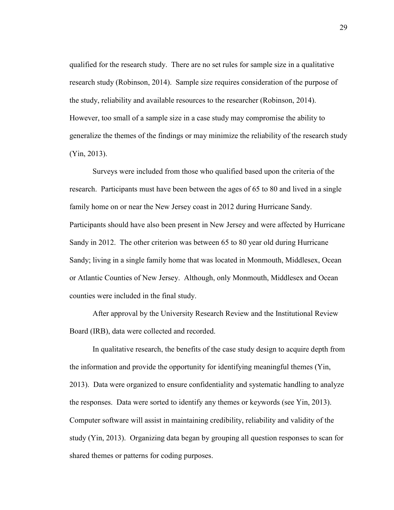qualified for the research study. There are no set rules for sample size in a qualitative research study (Robinson, 2014). Sample size requires consideration of the purpose of the study, reliability and available resources to the researcher (Robinson, 2014). However, too small of a sample size in a case study may compromise the ability to generalize the themes of the findings or may minimize the reliability of the research study (Yin, 2013).

 Surveys were included from those who qualified based upon the criteria of the research. Participants must have been between the ages of 65 to 80 and lived in a single family home on or near the New Jersey coast in 2012 during Hurricane Sandy. Participants should have also been present in New Jersey and were affected by Hurricane Sandy in 2012. The other criterion was between 65 to 80 year old during Hurricane Sandy; living in a single family home that was located in Monmouth, Middlesex, Ocean or Atlantic Counties of New Jersey. Although, only Monmouth, Middlesex and Ocean counties were included in the final study.

After approval by the University Research Review and the Institutional Review Board (IRB), data were collected and recorded.

In qualitative research, the benefits of the case study design to acquire depth from the information and provide the opportunity for identifying meaningful themes (Yin, 2013). Data were organized to ensure confidentiality and systematic handling to analyze the responses. Data were sorted to identify any themes or keywords (see Yin, 2013). Computer software will assist in maintaining credibility, reliability and validity of the study (Yin, 2013). Organizing data began by grouping all question responses to scan for shared themes or patterns for coding purposes.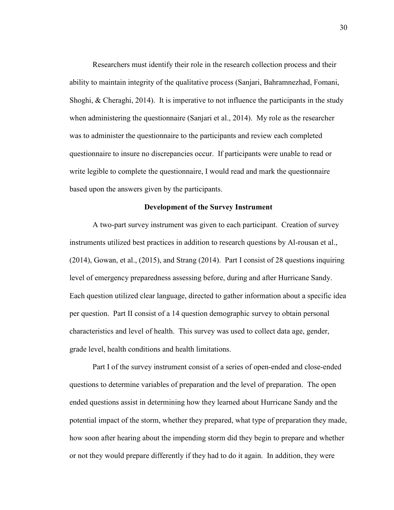Researchers must identify their role in the research collection process and their ability to maintain integrity of the qualitative process (Sanjari, Bahramnezhad, Fomani, Shoghi,  $\&$  Cheraghi, 2014). It is imperative to not influence the participants in the study when administering the questionnaire (Sanjari et al., 2014). My role as the researcher was to administer the questionnaire to the participants and review each completed questionnaire to insure no discrepancies occur. If participants were unable to read or write legible to complete the questionnaire, I would read and mark the questionnaire based upon the answers given by the participants.

## **Development of the Survey Instrument**

 A two-part survey instrument was given to each participant. Creation of survey instruments utilized best practices in addition to research questions by Al-rousan et al., (2014), Gowan, et al., (2015), and Strang (2014). Part I consist of 28 questions inquiring level of emergency preparedness assessing before, during and after Hurricane Sandy. Each question utilized clear language, directed to gather information about a specific idea per question. Part II consist of a 14 question demographic survey to obtain personal characteristics and level of health. This survey was used to collect data age, gender, grade level, health conditions and health limitations.

 Part I of the survey instrument consist of a series of open-ended and close-ended questions to determine variables of preparation and the level of preparation. The open ended questions assist in determining how they learned about Hurricane Sandy and the potential impact of the storm, whether they prepared, what type of preparation they made, how soon after hearing about the impending storm did they begin to prepare and whether or not they would prepare differently if they had to do it again. In addition, they were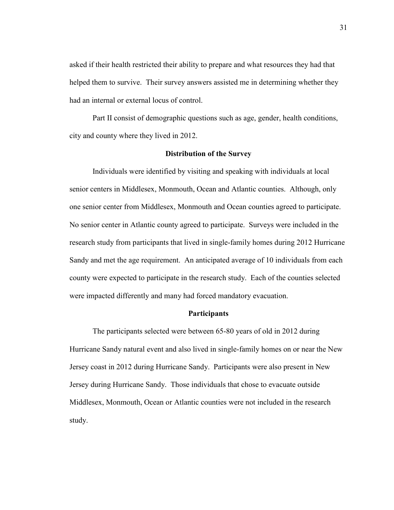asked if their health restricted their ability to prepare and what resources they had that helped them to survive. Their survey answers assisted me in determining whether they had an internal or external locus of control.

Part II consist of demographic questions such as age, gender, health conditions, city and county where they lived in 2012.

## **Distribution of the Survey**

Individuals were identified by visiting and speaking with individuals at local senior centers in Middlesex, Monmouth, Ocean and Atlantic counties. Although, only one senior center from Middlesex, Monmouth and Ocean counties agreed to participate. No senior center in Atlantic county agreed to participate. Surveys were included in the research study from participants that lived in single-family homes during 2012 Hurricane Sandy and met the age requirement. An anticipated average of 10 individuals from each county were expected to participate in the research study. Each of the counties selected were impacted differently and many had forced mandatory evacuation.

## **Participants**

 The participants selected were between 65-80 years of old in 2012 during Hurricane Sandy natural event and also lived in single-family homes on or near the New Jersey coast in 2012 during Hurricane Sandy. Participants were also present in New Jersey during Hurricane Sandy. Those individuals that chose to evacuate outside Middlesex, Monmouth, Ocean or Atlantic counties were not included in the research study.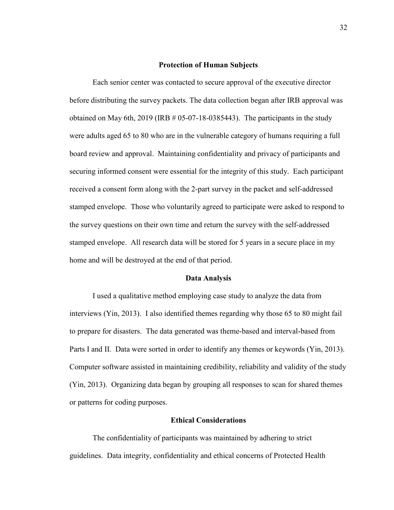## **Protection of Human Subjects**

Each senior center was contacted to secure approval of the executive director before distributing the survey packets. The data collection began after IRB approval was obtained on May 6th,  $2019$  (IRB  $#05-07-18-0385443$ ). The participants in the study were adults aged 65 to 80 who are in the vulnerable category of humans requiring a full board review and approval. Maintaining confidentiality and privacy of participants and securing informed consent were essential for the integrity of this study. Each participant received a consent form along with the 2-part survey in the packet and self-addressed stamped envelope. Those who voluntarily agreed to participate were asked to respond to the survey questions on their own time and return the survey with the self-addressed stamped envelope. All research data will be stored for 5 years in a secure place in my home and will be destroyed at the end of that period.

## **Data Analysis**

 I used a qualitative method employing case study to analyze the data from interviews (Yin, 2013). I also identified themes regarding why those 65 to 80 might fail to prepare for disasters. The data generated was theme-based and interval-based from Parts I and II. Data were sorted in order to identify any themes or keywords (Yin, 2013). Computer software assisted in maintaining credibility, reliability and validity of the study (Yin, 2013). Organizing data began by grouping all responses to scan for shared themes or patterns for coding purposes.

#### **Ethical Considerations**

 The confidentiality of participants was maintained by adhering to strict guidelines. Data integrity, confidentiality and ethical concerns of Protected Health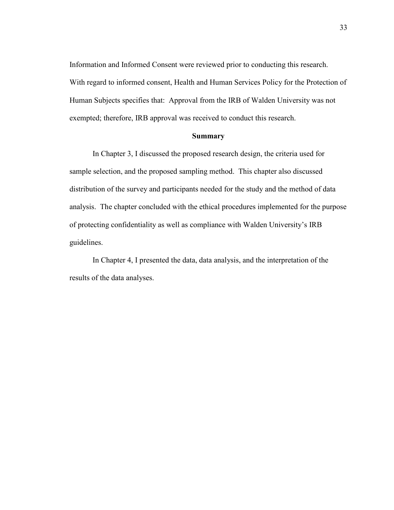Information and Informed Consent were reviewed prior to conducting this research. With regard to informed consent, Health and Human Services Policy for the Protection of Human Subjects specifies that: Approval from the IRB of Walden University was not exempted; therefore, IRB approval was received to conduct this research.

#### **Summary**

 In Chapter 3, I discussed the proposed research design, the criteria used for sample selection, and the proposed sampling method. This chapter also discussed distribution of the survey and participants needed for the study and the method of data analysis. The chapter concluded with the ethical procedures implemented for the purpose of protecting confidentiality as well as compliance with Walden University's IRB guidelines.

 In Chapter 4, I presented the data, data analysis, and the interpretation of the results of the data analyses.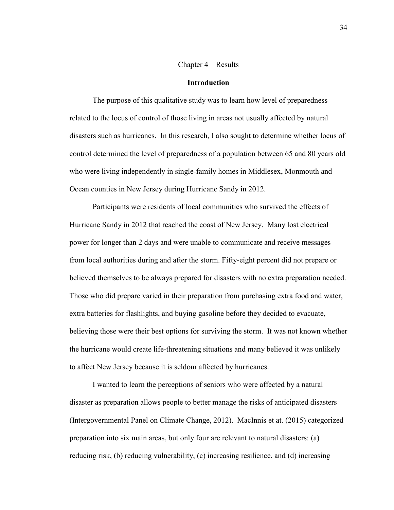## Chapter 4 – Results

## **Introduction**

 The purpose of this qualitative study was to learn how level of preparedness related to the locus of control of those living in areas not usually affected by natural disasters such as hurricanes. In this research, I also sought to determine whether locus of control determined the level of preparedness of a population between 65 and 80 years old who were living independently in single-family homes in Middlesex, Monmouth and Ocean counties in New Jersey during Hurricane Sandy in 2012.

 Participants were residents of local communities who survived the effects of Hurricane Sandy in 2012 that reached the coast of New Jersey. Many lost electrical power for longer than 2 days and were unable to communicate and receive messages from local authorities during and after the storm. Fifty-eight percent did not prepare or believed themselves to be always prepared for disasters with no extra preparation needed. Those who did prepare varied in their preparation from purchasing extra food and water, extra batteries for flashlights, and buying gasoline before they decided to evacuate, believing those were their best options for surviving the storm. It was not known whether the hurricane would create life-threatening situations and many believed it was unlikely to affect New Jersey because it is seldom affected by hurricanes.

I wanted to learn the perceptions of seniors who were affected by a natural disaster as preparation allows people to better manage the risks of anticipated disasters (Intergovernmental Panel on Climate Change, 2012). MacInnis et at. (2015) categorized preparation into six main areas, but only four are relevant to natural disasters: (a) reducing risk, (b) reducing vulnerability, (c) increasing resilience, and (d) increasing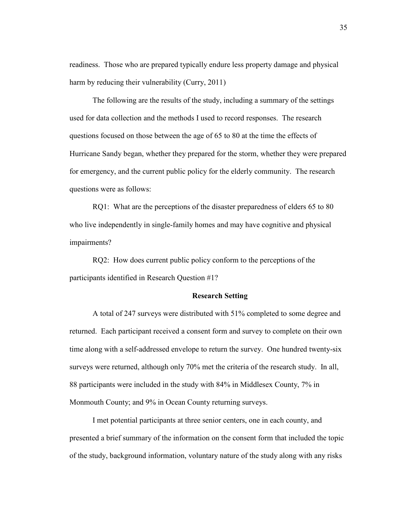readiness. Those who are prepared typically endure less property damage and physical harm by reducing their vulnerability (Curry, 2011)

 The following are the results of the study, including a summary of the settings used for data collection and the methods I used to record responses. The research questions focused on those between the age of 65 to 80 at the time the effects of Hurricane Sandy began, whether they prepared for the storm, whether they were prepared for emergency, and the current public policy for the elderly community. The research questions were as follows:

RQ1: What are the perceptions of the disaster preparedness of elders 65 to 80 who live independently in single-family homes and may have cognitive and physical impairments?

RQ2: How does current public policy conform to the perceptions of the participants identified in Research Question #1?

## **Research Setting**

 A total of 247 surveys were distributed with 51% completed to some degree and returned. Each participant received a consent form and survey to complete on their own time along with a self-addressed envelope to return the survey. One hundred twenty-six surveys were returned, although only 70% met the criteria of the research study. In all, 88 participants were included in the study with 84% in Middlesex County, 7% in Monmouth County; and 9% in Ocean County returning surveys.

I met potential participants at three senior centers, one in each county, and presented a brief summary of the information on the consent form that included the topic of the study, background information, voluntary nature of the study along with any risks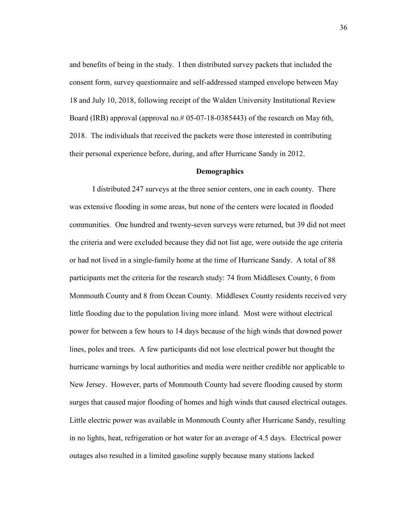and benefits of being in the study. I then distributed survey packets that included the consent form, survey questionnaire and self-addressed stamped envelope between May 18 and July 10, 2018, following receipt of the Walden University Institutional Review Board (IRB) approval (approval no.#  $05-07-18-0385443$ ) of the research on May 6th, 2018. The individuals that received the packets were those interested in contributing their personal experience before, during, and after Hurricane Sandy in 2012.

## **Demographics**

I distributed 247 surveys at the three senior centers, one in each county. There was extensive flooding in some areas, but none of the centers were located in flooded communities. One hundred and twenty-seven surveys were returned, but 39 did not meet the criteria and were excluded because they did not list age, were outside the age criteria or had not lived in a single-family home at the time of Hurricane Sandy. A total of 88 participants met the criteria for the research study: 74 from Middlesex County, 6 from Monmouth County and 8 from Ocean County. Middlesex County residents received very little flooding due to the population living more inland. Most were without electrical power for between a few hours to 14 days because of the high winds that downed power lines, poles and trees. A few participants did not lose electrical power but thought the hurricane warnings by local authorities and media were neither credible nor applicable to New Jersey. However, parts of Monmouth County had severe flooding caused by storm surges that caused major flooding of homes and high winds that caused electrical outages. Little electric power was available in Monmouth County after Hurricane Sandy, resulting in no lights, heat, refrigeration or hot water for an average of 4.5 days. Electrical power outages also resulted in a limited gasoline supply because many stations lacked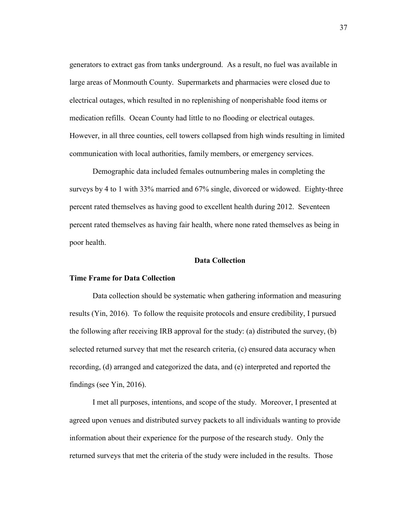generators to extract gas from tanks underground. As a result, no fuel was available in large areas of Monmouth County. Supermarkets and pharmacies were closed due to electrical outages, which resulted in no replenishing of nonperishable food items or medication refills. Ocean County had little to no flooding or electrical outages. However, in all three counties, cell towers collapsed from high winds resulting in limited communication with local authorities, family members, or emergency services.

Demographic data included females outnumbering males in completing the surveys by 4 to 1 with 33% married and 67% single, divorced or widowed. Eighty-three percent rated themselves as having good to excellent health during 2012. Seventeen percent rated themselves as having fair health, where none rated themselves as being in poor health.

## **Data Collection**

### **Time Frame for Data Collection**

 Data collection should be systematic when gathering information and measuring results (Yin, 2016). To follow the requisite protocols and ensure credibility, I pursued the following after receiving IRB approval for the study: (a) distributed the survey, (b) selected returned survey that met the research criteria, (c) ensured data accuracy when recording, (d) arranged and categorized the data, and (e) interpreted and reported the findings (see Yin, 2016).

 I met all purposes, intentions, and scope of the study. Moreover, I presented at agreed upon venues and distributed survey packets to all individuals wanting to provide information about their experience for the purpose of the research study. Only the returned surveys that met the criteria of the study were included in the results. Those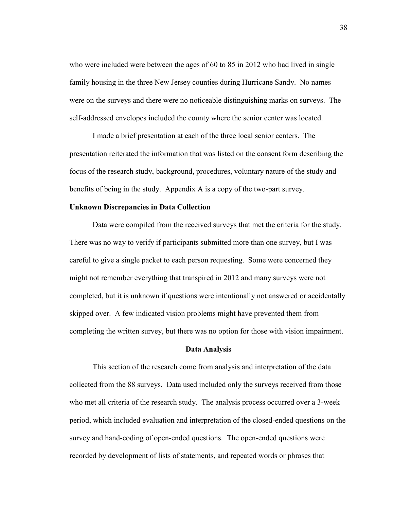who were included were between the ages of 60 to 85 in 2012 who had lived in single family housing in the three New Jersey counties during Hurricane Sandy. No names were on the surveys and there were no noticeable distinguishing marks on surveys. The self-addressed envelopes included the county where the senior center was located.

I made a brief presentation at each of the three local senior centers. The presentation reiterated the information that was listed on the consent form describing the focus of the research study, background, procedures, voluntary nature of the study and benefits of being in the study. Appendix A is a copy of the two-part survey.

## **Unknown Discrepancies in Data Collection**

 Data were compiled from the received surveys that met the criteria for the study. There was no way to verify if participants submitted more than one survey, but I was careful to give a single packet to each person requesting. Some were concerned they might not remember everything that transpired in 2012 and many surveys were not completed, but it is unknown if questions were intentionally not answered or accidentally skipped over. A few indicated vision problems might have prevented them from completing the written survey, but there was no option for those with vision impairment.

#### **Data Analysis**

 This section of the research come from analysis and interpretation of the data collected from the 88 surveys. Data used included only the surveys received from those who met all criteria of the research study. The analysis process occurred over a 3-week period, which included evaluation and interpretation of the closed-ended questions on the survey and hand-coding of open-ended questions. The open-ended questions were recorded by development of lists of statements, and repeated words or phrases that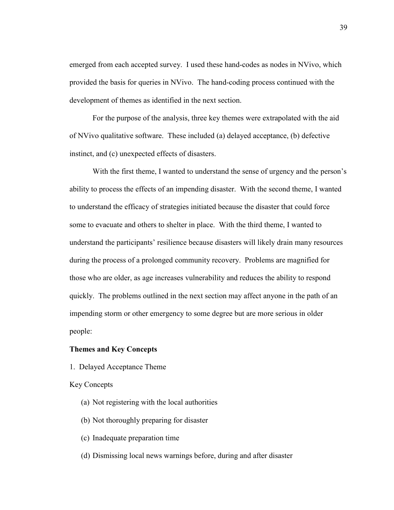emerged from each accepted survey. I used these hand-codes as nodes in NVivo, which provided the basis for queries in NVivo. The hand-coding process continued with the development of themes as identified in the next section.

For the purpose of the analysis, three key themes were extrapolated with the aid of NVivo qualitative software. These included (a) delayed acceptance, (b) defective instinct, and (c) unexpected effects of disasters.

With the first theme, I wanted to understand the sense of urgency and the person's ability to process the effects of an impending disaster. With the second theme, I wanted to understand the efficacy of strategies initiated because the disaster that could force some to evacuate and others to shelter in place. With the third theme, I wanted to understand the participants' resilience because disasters will likely drain many resources during the process of a prolonged community recovery. Problems are magnified for those who are older, as age increases vulnerability and reduces the ability to respond quickly. The problems outlined in the next section may affect anyone in the path of an impending storm or other emergency to some degree but are more serious in older people:

## **Themes and Key Concepts**

1. Delayed Acceptance Theme

Key Concepts

- (a) Not registering with the local authorities
- (b) Not thoroughly preparing for disaster
- (c) Inadequate preparation time
- (d) Dismissing local news warnings before, during and after disaster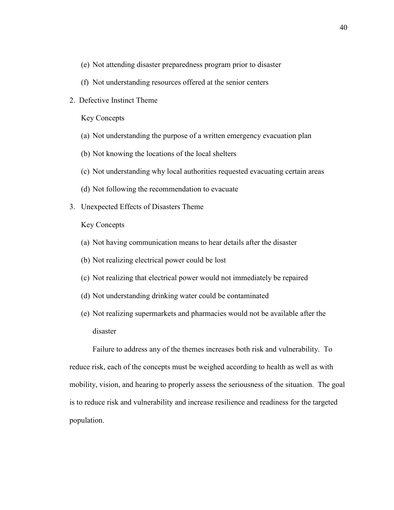- (e) Not attending disaster preparedness program prior to disaster
- (f) Not understanding resources offered at the senior centers
- 2. Defective Instinct Theme

Key Concepts

- (a) Not understanding the purpose of a written emergency evacuation plan
- (b) Not knowing the locations of the local shelters
- (c) Not understanding why local authorities requested evacuating certain areas
- (d) Not following the recommendation to evacuate
- 3. Unexpected Effects of Disasters Theme

Key Concepts

- (a) Not having communication means to hear details after the disaster
- (b) Not realizing electrical power could be lost
- (c) Not realizing that electrical power would not immediately be repaired
- (d) Not understanding drinking water could be contaminated
- (e) Not realizing supermarkets and pharmacies would not be available after the disaster

 Failure to address any of the themes increases both risk and vulnerability. To reduce risk, each of the concepts must be weighed according to health as well as with mobility, vision, and hearing to properly assess the seriousness of the situation. The goal is to reduce risk and vulnerability and increase resilience and readiness for the targeted population.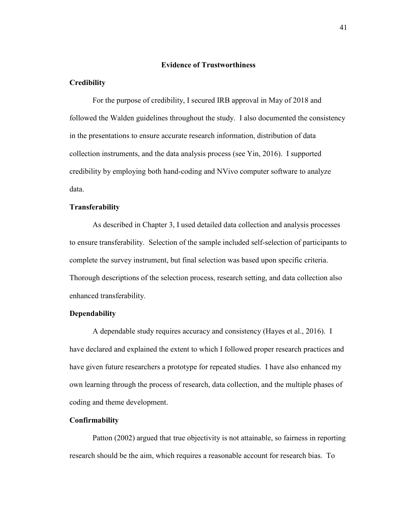### **Evidence of Trustworthiness**

## **Credibility**

 For the purpose of credibility, I secured IRB approval in May of 2018 and followed the Walden guidelines throughout the study. I also documented the consistency in the presentations to ensure accurate research information, distribution of data collection instruments, and the data analysis process (see Yin, 2016). I supported credibility by employing both hand-coding and NVivo computer software to analyze data.

## **Transferability**

 As described in Chapter 3, I used detailed data collection and analysis processes to ensure transferability. Selection of the sample included self-selection of participants to complete the survey instrument, but final selection was based upon specific criteria. Thorough descriptions of the selection process, research setting, and data collection also enhanced transferability.

## **Dependability**

 A dependable study requires accuracy and consistency (Hayes et al., 2016). I have declared and explained the extent to which I followed proper research practices and have given future researchers a prototype for repeated studies. I have also enhanced my own learning through the process of research, data collection, and the multiple phases of coding and theme development.

## **Confirmability**

 Patton (2002) argued that true objectivity is not attainable, so fairness in reporting research should be the aim, which requires a reasonable account for research bias. To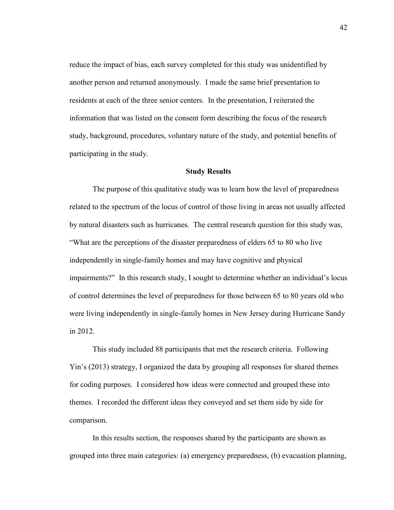reduce the impact of bias, each survey completed for this study was unidentified by another person and returned anonymously. I made the same brief presentation to residents at each of the three senior centers. In the presentation, I reiterated the information that was listed on the consent form describing the focus of the research study, background, procedures, voluntary nature of the study, and potential benefits of participating in the study.

## **Study Results**

 The purpose of this qualitative study was to learn how the level of preparedness related to the spectrum of the locus of control of those living in areas not usually affected by natural disasters such as hurricanes. The central research question for this study was, "What are the perceptions of the disaster preparedness of elders 65 to 80 who live independently in single-family homes and may have cognitive and physical impairments?" In this research study, I sought to determine whether an individual's locus of control determines the level of preparedness for those between 65 to 80 years old who were living independently in single-family homes in New Jersey during Hurricane Sandy in 2012.

 This study included 88 participants that met the research criteria. Following Yin's (2013) strategy, I organized the data by grouping all responses for shared themes for coding purposes. I considered how ideas were connected and grouped these into themes. I recorded the different ideas they conveyed and set them side by side for comparison.

 In this results section, the responses shared by the participants are shown as grouped into three main categories: (a) emergency preparedness, (b) evacuation planning,

42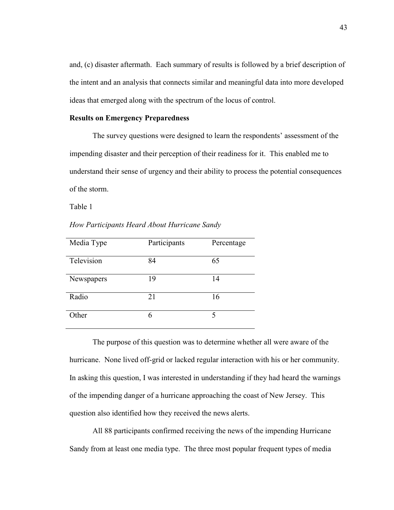and, (c) disaster aftermath. Each summary of results is followed by a brief description of the intent and an analysis that connects similar and meaningful data into more developed ideas that emerged along with the spectrum of the locus of control.

## **Results on Emergency Preparedness**

 The survey questions were designed to learn the respondents' assessment of the impending disaster and their perception of their readiness for it. This enabled me to understand their sense of urgency and their ability to process the potential consequences of the storm.

Table 1

*How Participants Heard About Hurricane Sandy* 

| Media Type | Participants | Percentage |
|------------|--------------|------------|
| Television | 84           | 65         |
| Newspapers | 19           | 14         |
| Radio      | 21           | 16         |
| Other      |              |            |

The purpose of this question was to determine whether all were aware of the hurricane. None lived off-grid or lacked regular interaction with his or her community. In asking this question, I was interested in understanding if they had heard the warnings of the impending danger of a hurricane approaching the coast of New Jersey. This question also identified how they received the news alerts.

All 88 participants confirmed receiving the news of the impending Hurricane Sandy from at least one media type. The three most popular frequent types of media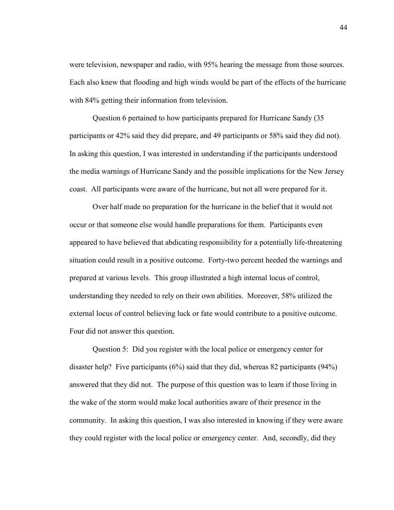were television, newspaper and radio, with 95% hearing the message from those sources. Each also knew that flooding and high winds would be part of the effects of the hurricane with 84% getting their information from television.

Question 6 pertained to how participants prepared for Hurricane Sandy (35 participants or 42% said they did prepare, and 49 participants or 58% said they did not). In asking this question, I was interested in understanding if the participants understood the media warnings of Hurricane Sandy and the possible implications for the New Jersey coast. All participants were aware of the hurricane, but not all were prepared for it.

Over half made no preparation for the hurricane in the belief that it would not occur or that someone else would handle preparations for them. Participants even appeared to have believed that abdicating responsibility for a potentially life-threatening situation could result in a positive outcome. Forty-two percent heeded the warnings and prepared at various levels. This group illustrated a high internal locus of control, understanding they needed to rely on their own abilities. Moreover, 58% utilized the external locus of control believing luck or fate would contribute to a positive outcome. Four did not answer this question.

Question 5: Did you register with the local police or emergency center for disaster help? Five participants  $(6\%)$  said that they did, whereas 82 participants  $(94\%)$ answered that they did not. The purpose of this question was to learn if those living in the wake of the storm would make local authorities aware of their presence in the community. In asking this question, I was also interested in knowing if they were aware they could register with the local police or emergency center. And, secondly, did they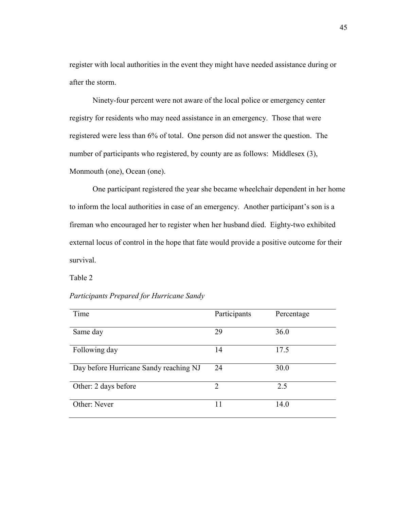register with local authorities in the event they might have needed assistance during or after the storm.

Ninety-four percent were not aware of the local police or emergency center registry for residents who may need assistance in an emergency. Those that were registered were less than 6% of total. One person did not answer the question. The number of participants who registered, by county are as follows: Middlesex (3), Monmouth (one), Ocean (one).

One participant registered the year she became wheelchair dependent in her home to inform the local authorities in case of an emergency. Another participant's son is a fireman who encouraged her to register when her husband died. Eighty-two exhibited external locus of control in the hope that fate would provide a positive outcome for their survival.

Table 2

## *Participants Prepared for Hurricane Sandy*

| Time                                   | Participants   | Percentage |
|----------------------------------------|----------------|------------|
| Same day                               | 29             | 36.0       |
| Following day                          | 14             | 17.5       |
| Day before Hurricane Sandy reaching NJ | 24             | 30.0       |
| Other: 2 days before                   | $\overline{2}$ | 2.5        |
| Other: Never                           | 11             | 14.0       |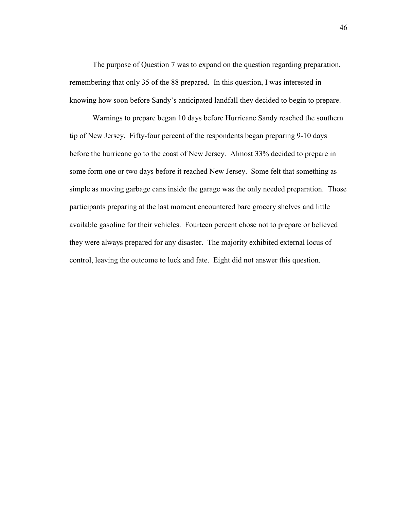The purpose of Question 7 was to expand on the question regarding preparation, remembering that only 35 of the 88 prepared. In this question, I was interested in knowing how soon before Sandy's anticipated landfall they decided to begin to prepare.

Warnings to prepare began 10 days before Hurricane Sandy reached the southern tip of New Jersey. Fifty-four percent of the respondents began preparing 9-10 days before the hurricane go to the coast of New Jersey. Almost 33% decided to prepare in some form one or two days before it reached New Jersey. Some felt that something as simple as moving garbage cans inside the garage was the only needed preparation. Those participants preparing at the last moment encountered bare grocery shelves and little available gasoline for their vehicles. Fourteen percent chose not to prepare or believed they were always prepared for any disaster. The majority exhibited external locus of control, leaving the outcome to luck and fate. Eight did not answer this question.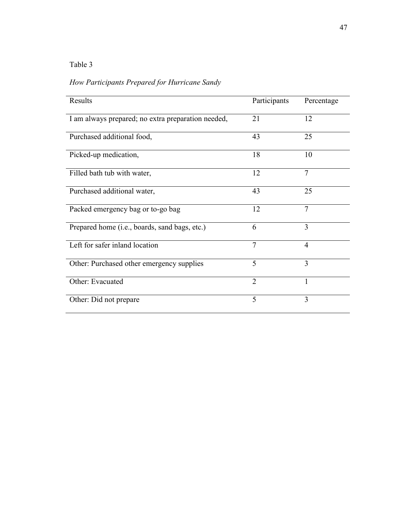## Table 3

# *How Participants Prepared for Hurricane Sandy*

| Results                                            | Participants   | Percentage     |
|----------------------------------------------------|----------------|----------------|
| I am always prepared; no extra preparation needed, | 21             | 12             |
| Purchased additional food,                         | 43             | 25             |
| Picked-up medication,                              | 18             | 10             |
| Filled bath tub with water,                        | 12             | $\overline{7}$ |
| Purchased additional water,                        | 43             | 25             |
| Packed emergency bag or to-go bag                  | 12             | $\overline{7}$ |
| Prepared home (i.e., boards, sand bags, etc.)      | 6              | 3              |
| Left for safer inland location                     | $\tau$         | $\overline{4}$ |
| Other: Purchased other emergency supplies          | 5              | 3              |
| Other: Evacuated                                   | $\overline{2}$ | 1              |
| Other: Did not prepare                             | 5              | 3              |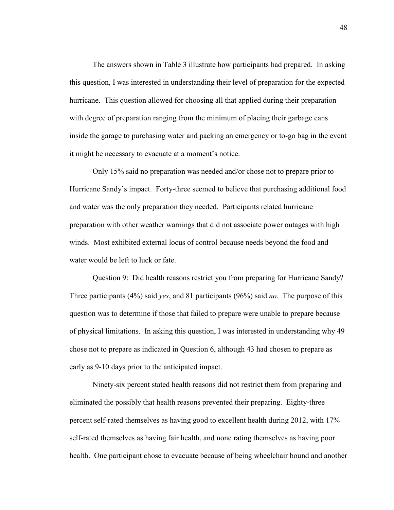The answers shown in Table 3 illustrate how participants had prepared. In asking this question, I was interested in understanding their level of preparation for the expected hurricane. This question allowed for choosing all that applied during their preparation with degree of preparation ranging from the minimum of placing their garbage cans inside the garage to purchasing water and packing an emergency or to-go bag in the event it might be necessary to evacuate at a moment's notice.

Only 15% said no preparation was needed and/or chose not to prepare prior to Hurricane Sandy's impact. Forty-three seemed to believe that purchasing additional food and water was the only preparation they needed. Participants related hurricane preparation with other weather warnings that did not associate power outages with high winds. Most exhibited external locus of control because needs beyond the food and water would be left to luck or fate.

Question 9: Did health reasons restrict you from preparing for Hurricane Sandy? Three participants (4%) said *yes*, and 81 participants (96%) said *no*. The purpose of this question was to determine if those that failed to prepare were unable to prepare because of physical limitations. In asking this question, I was interested in understanding why 49 chose not to prepare as indicated in Question 6, although 43 had chosen to prepare as early as 9-10 days prior to the anticipated impact.

Ninety-six percent stated health reasons did not restrict them from preparing and eliminated the possibly that health reasons prevented their preparing. Eighty-three percent self-rated themselves as having good to excellent health during 2012, with 17% self-rated themselves as having fair health, and none rating themselves as having poor health. One participant chose to evacuate because of being wheelchair bound and another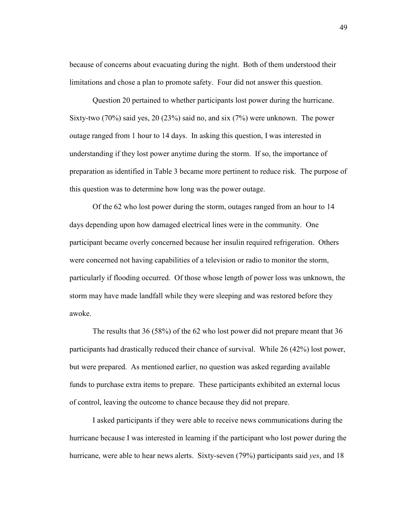because of concerns about evacuating during the night. Both of them understood their limitations and chose a plan to promote safety. Four did not answer this question.

Question 20 pertained to whether participants lost power during the hurricane. Sixty-two (70%) said yes, 20 (23%) said no, and six (7%) were unknown. The power outage ranged from 1 hour to 14 days. In asking this question, I was interested in understanding if they lost power anytime during the storm. If so, the importance of preparation as identified in Table 3 became more pertinent to reduce risk. The purpose of this question was to determine how long was the power outage.

Of the 62 who lost power during the storm, outages ranged from an hour to 14 days depending upon how damaged electrical lines were in the community. One participant became overly concerned because her insulin required refrigeration. Others were concerned not having capabilities of a television or radio to monitor the storm, particularly if flooding occurred. Of those whose length of power loss was unknown, the storm may have made landfall while they were sleeping and was restored before they awoke.

The results that 36 (58%) of the 62 who lost power did not prepare meant that 36 participants had drastically reduced their chance of survival. While 26 (42%) lost power, but were prepared. As mentioned earlier, no question was asked regarding available funds to purchase extra items to prepare. These participants exhibited an external locus of control, leaving the outcome to chance because they did not prepare.

I asked participants if they were able to receive news communications during the hurricane because I was interested in learning if the participant who lost power during the hurricane, were able to hear news alerts. Sixty-seven (79%) participants said *yes*, and 18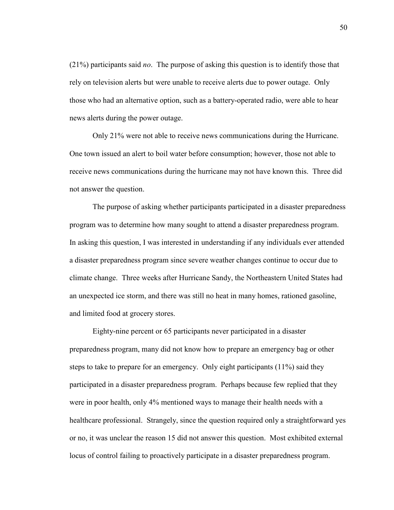(21%) participants said *no*. The purpose of asking this question is to identify those that rely on television alerts but were unable to receive alerts due to power outage. Only those who had an alternative option, such as a battery-operated radio, were able to hear news alerts during the power outage.

Only 21% were not able to receive news communications during the Hurricane. One town issued an alert to boil water before consumption; however, those not able to receive news communications during the hurricane may not have known this. Three did not answer the question.

The purpose of asking whether participants participated in a disaster preparedness program was to determine how many sought to attend a disaster preparedness program. In asking this question, I was interested in understanding if any individuals ever attended a disaster preparedness program since severe weather changes continue to occur due to climate change. Three weeks after Hurricane Sandy, the Northeastern United States had an unexpected ice storm, and there was still no heat in many homes, rationed gasoline, and limited food at grocery stores.

Eighty-nine percent or 65 participants never participated in a disaster preparedness program, many did not know how to prepare an emergency bag or other steps to take to prepare for an emergency. Only eight participants (11%) said they participated in a disaster preparedness program. Perhaps because few replied that they were in poor health, only 4% mentioned ways to manage their health needs with a healthcare professional. Strangely, since the question required only a straightforward yes or no, it was unclear the reason 15 did not answer this question. Most exhibited external locus of control failing to proactively participate in a disaster preparedness program.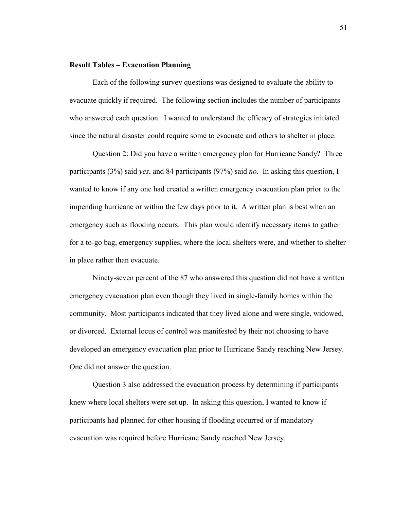## **Result Tables – Evacuation Planning**

 Each of the following survey questions was designed to evaluate the ability to evacuate quickly if required. The following section includes the number of participants who answered each question. I wanted to understand the efficacy of strategies initiated since the natural disaster could require some to evacuate and others to shelter in place.

 Question 2: Did you have a written emergency plan for Hurricane Sandy? Three participants (3%) said *yes*, and 84 participants (97%) said *no*. In asking this question, I wanted to know if any one had created a written emergency evacuation plan prior to the impending hurricane or within the few days prior to it. A written plan is best when an emergency such as flooding occurs. This plan would identify necessary items to gather for a to-go bag, emergency supplies, where the local shelters were, and whether to shelter in place rather than evacuate.

Ninety-seven percent of the 87 who answered this question did not have a written emergency evacuation plan even though they lived in single-family homes within the community. Most participants indicated that they lived alone and were single, widowed, or divorced. External locus of control was manifested by their not choosing to have developed an emergency evacuation plan prior to Hurricane Sandy reaching New Jersey. One did not answer the question.

Question 3 also addressed the evacuation process by determining if participants knew where local shelters were set up. In asking this question, I wanted to know if participants had planned for other housing if flooding occurred or if mandatory evacuation was required before Hurricane Sandy reached New Jersey.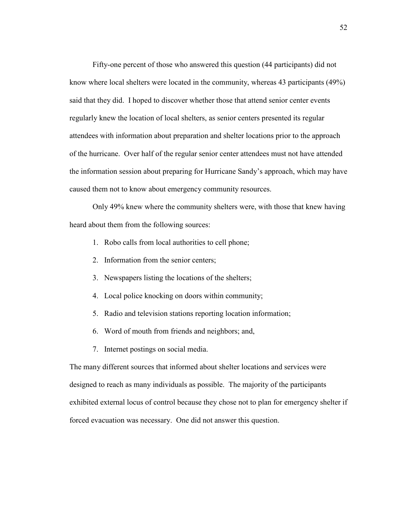Fifty-one percent of those who answered this question (44 participants) did not know where local shelters were located in the community, whereas 43 participants (49%) said that they did. I hoped to discover whether those that attend senior center events regularly knew the location of local shelters, as senior centers presented its regular attendees with information about preparation and shelter locations prior to the approach of the hurricane. Over half of the regular senior center attendees must not have attended the information session about preparing for Hurricane Sandy's approach, which may have caused them not to know about emergency community resources.

 Only 49% knew where the community shelters were, with those that knew having heard about them from the following sources:

- 1. Robo calls from local authorities to cell phone;
- 2. Information from the senior centers;
- 3. Newspapers listing the locations of the shelters;
- 4. Local police knocking on doors within community;
- 5. Radio and television stations reporting location information;
- 6. Word of mouth from friends and neighbors; and,
- 7. Internet postings on social media.

The many different sources that informed about shelter locations and services were designed to reach as many individuals as possible. The majority of the participants exhibited external locus of control because they chose not to plan for emergency shelter if forced evacuation was necessary. One did not answer this question.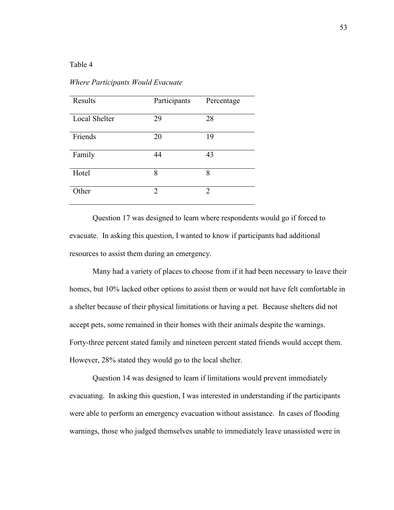## Table 4

| Results              | Participants | Percentage |
|----------------------|--------------|------------|
| <b>Local Shelter</b> | 29           | 28         |
| Friends              | 20           | 19         |
| Family               | 44           | 43         |
| Hotel                | 8            | 8          |
| Other                | 2            | 2          |

*Where Participants Would Evacuate* 

 Question 17 was designed to learn where respondents would go if forced to evacuate. In asking this question, I wanted to know if participants had additional resources to assist them during an emergency.

Many had a variety of places to choose from if it had been necessary to leave their homes, but 10% lacked other options to assist them or would not have felt comfortable in a shelter because of their physical limitations or having a pet. Because shelters did not accept pets, some remained in their homes with their animals despite the warnings. Forty-three percent stated family and nineteen percent stated friends would accept them. However, 28% stated they would go to the local shelter.

Question 14 was designed to learn if limitations would prevent immediately evacuating. In asking this question, I was interested in understanding if the participants were able to perform an emergency evacuation without assistance. In cases of flooding warnings, those who judged themselves unable to immediately leave unassisted were in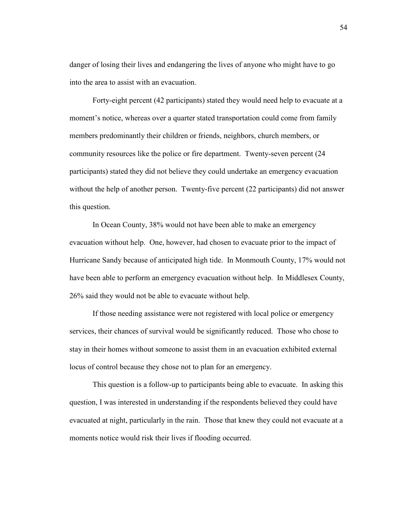danger of losing their lives and endangering the lives of anyone who might have to go into the area to assist with an evacuation.

Forty-eight percent (42 participants) stated they would need help to evacuate at a moment's notice, whereas over a quarter stated transportation could come from family members predominantly their children or friends, neighbors, church members, or community resources like the police or fire department. Twenty-seven percent (24 participants) stated they did not believe they could undertake an emergency evacuation without the help of another person. Twenty-five percent (22 participants) did not answer this question.

In Ocean County, 38% would not have been able to make an emergency evacuation without help. One, however, had chosen to evacuate prior to the impact of Hurricane Sandy because of anticipated high tide. In Monmouth County, 17% would not have been able to perform an emergency evacuation without help. In Middlesex County, 26% said they would not be able to evacuate without help.

 If those needing assistance were not registered with local police or emergency services, their chances of survival would be significantly reduced. Those who chose to stay in their homes without someone to assist them in an evacuation exhibited external locus of control because they chose not to plan for an emergency.

 This question is a follow-up to participants being able to evacuate. In asking this question, I was interested in understanding if the respondents believed they could have evacuated at night, particularly in the rain. Those that knew they could not evacuate at a moments notice would risk their lives if flooding occurred.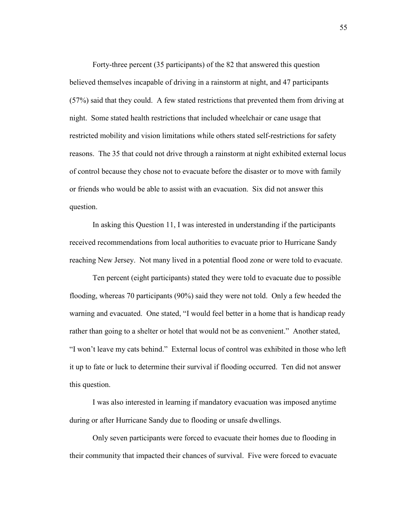Forty-three percent (35 participants) of the 82 that answered this question believed themselves incapable of driving in a rainstorm at night, and 47 participants (57%) said that they could. A few stated restrictions that prevented them from driving at night. Some stated health restrictions that included wheelchair or cane usage that restricted mobility and vision limitations while others stated self-restrictions for safety reasons. The 35 that could not drive through a rainstorm at night exhibited external locus of control because they chose not to evacuate before the disaster or to move with family or friends who would be able to assist with an evacuation. Six did not answer this question.

In asking this Question 11, I was interested in understanding if the participants received recommendations from local authorities to evacuate prior to Hurricane Sandy reaching New Jersey. Not many lived in a potential flood zone or were told to evacuate.

Ten percent (eight participants) stated they were told to evacuate due to possible flooding, whereas 70 participants (90%) said they were not told. Only a few heeded the warning and evacuated. One stated, "I would feel better in a home that is handicap ready rather than going to a shelter or hotel that would not be as convenient." Another stated, "I won't leave my cats behind." External locus of control was exhibited in those who left it up to fate or luck to determine their survival if flooding occurred. Ten did not answer this question.

I was also interested in learning if mandatory evacuation was imposed anytime during or after Hurricane Sandy due to flooding or unsafe dwellings.

Only seven participants were forced to evacuate their homes due to flooding in their community that impacted their chances of survival. Five were forced to evacuate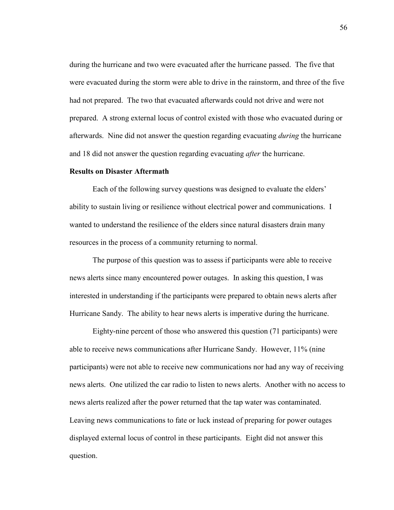during the hurricane and two were evacuated after the hurricane passed. The five that were evacuated during the storm were able to drive in the rainstorm, and three of the five had not prepared. The two that evacuated afterwards could not drive and were not prepared. A strong external locus of control existed with those who evacuated during or afterwards. Nine did not answer the question regarding evacuating *during* the hurricane and 18 did not answer the question regarding evacuating *after* the hurricane.

## **Results on Disaster Aftermath**

 Each of the following survey questions was designed to evaluate the elders' ability to sustain living or resilience without electrical power and communications. I wanted to understand the resilience of the elders since natural disasters drain many resources in the process of a community returning to normal.

The purpose of this question was to assess if participants were able to receive news alerts since many encountered power outages. In asking this question, I was interested in understanding if the participants were prepared to obtain news alerts after Hurricane Sandy. The ability to hear news alerts is imperative during the hurricane.

Eighty-nine percent of those who answered this question (71 participants) were able to receive news communications after Hurricane Sandy. However, 11% (nine participants) were not able to receive new communications nor had any way of receiving news alerts. One utilized the car radio to listen to news alerts. Another with no access to news alerts realized after the power returned that the tap water was contaminated. Leaving news communications to fate or luck instead of preparing for power outages displayed external locus of control in these participants. Eight did not answer this question.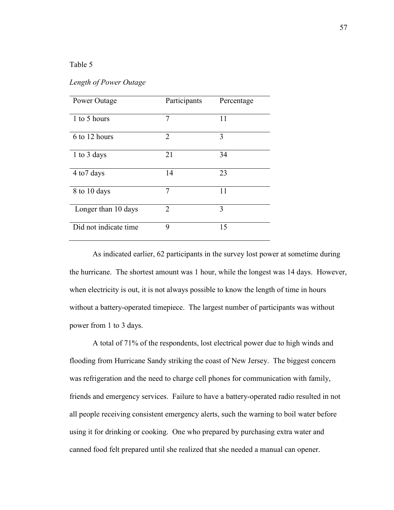## Table 5

| Power Outage          | Participants   | Percentage |
|-----------------------|----------------|------------|
| 1 to 5 hours          | 7              | 11         |
| 6 to 12 hours         | $\overline{2}$ | 3          |
| 1 to 3 days           | 21             | 34         |
| 4 to 7 days           | 14             | 23         |
| 8 to 10 days          | 7              | 11         |
| Longer than 10 days   | $\overline{2}$ | 3          |
| Did not indicate time | 9              | 15         |

## *Length of Power Outage*

 As indicated earlier, 62 participants in the survey lost power at sometime during the hurricane. The shortest amount was 1 hour, while the longest was 14 days. However, when electricity is out, it is not always possible to know the length of time in hours without a battery-operated timepiece. The largest number of participants was without power from 1 to 3 days.

A total of 71% of the respondents, lost electrical power due to high winds and flooding from Hurricane Sandy striking the coast of New Jersey. The biggest concern was refrigeration and the need to charge cell phones for communication with family, friends and emergency services. Failure to have a battery-operated radio resulted in not all people receiving consistent emergency alerts, such the warning to boil water before using it for drinking or cooking. One who prepared by purchasing extra water and canned food felt prepared until she realized that she needed a manual can opener.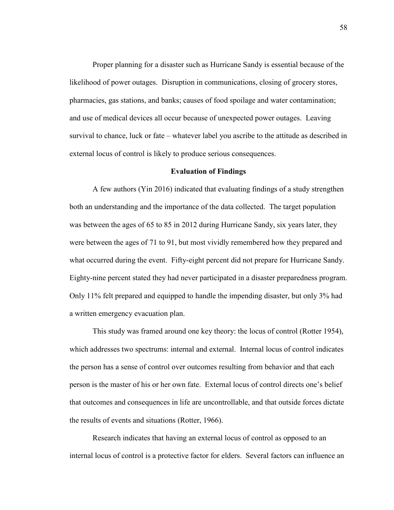Proper planning for a disaster such as Hurricane Sandy is essential because of the likelihood of power outages. Disruption in communications, closing of grocery stores, pharmacies, gas stations, and banks; causes of food spoilage and water contamination; and use of medical devices all occur because of unexpected power outages. Leaving survival to chance, luck or fate – whatever label you ascribe to the attitude as described in external locus of control is likely to produce serious consequences.

## **Evaluation of Findings**

A few authors (Yin 2016) indicated that evaluating findings of a study strengthen both an understanding and the importance of the data collected. The target population was between the ages of 65 to 85 in 2012 during Hurricane Sandy, six years later, they were between the ages of 71 to 91, but most vividly remembered how they prepared and what occurred during the event. Fifty-eight percent did not prepare for Hurricane Sandy. Eighty-nine percent stated they had never participated in a disaster preparedness program. Only 11% felt prepared and equipped to handle the impending disaster, but only 3% had a written emergency evacuation plan.

This study was framed around one key theory: the locus of control (Rotter 1954), which addresses two spectrums: internal and external. Internal locus of control indicates the person has a sense of control over outcomes resulting from behavior and that each person is the master of his or her own fate. External locus of control directs one's belief that outcomes and consequences in life are uncontrollable, and that outside forces dictate the results of events and situations (Rotter, 1966).

Research indicates that having an external locus of control as opposed to an internal locus of control is a protective factor for elders. Several factors can influence an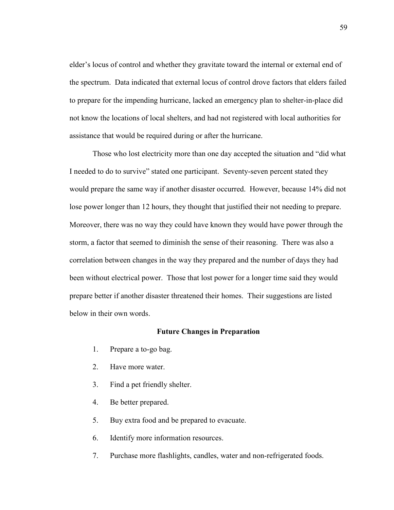elder's locus of control and whether they gravitate toward the internal or external end of the spectrum. Data indicated that external locus of control drove factors that elders failed to prepare for the impending hurricane, lacked an emergency plan to shelter-in-place did not know the locations of local shelters, and had not registered with local authorities for assistance that would be required during or after the hurricane.

Those who lost electricity more than one day accepted the situation and "did what I needed to do to survive" stated one participant. Seventy-seven percent stated they would prepare the same way if another disaster occurred. However, because 14% did not lose power longer than 12 hours, they thought that justified their not needing to prepare. Moreover, there was no way they could have known they would have power through the storm, a factor that seemed to diminish the sense of their reasoning. There was also a correlation between changes in the way they prepared and the number of days they had been without electrical power. Those that lost power for a longer time said they would prepare better if another disaster threatened their homes. Their suggestions are listed below in their own words.

#### **Future Changes in Preparation**

- 1. Prepare a to-go bag.
- 2. Have more water.
- 3. Find a pet friendly shelter.
- 4. Be better prepared.
- 5. Buy extra food and be prepared to evacuate.
- 6. Identify more information resources.
- 7. Purchase more flashlights, candles, water and non-refrigerated foods.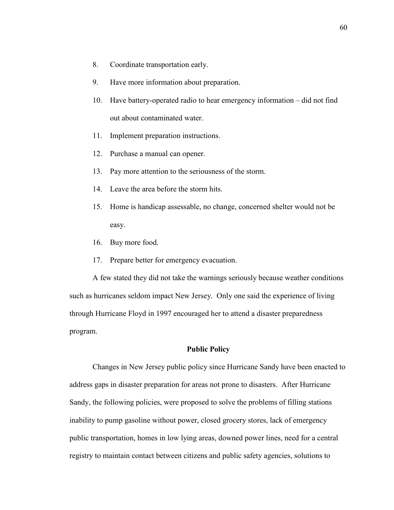- 8. Coordinate transportation early.
- 9. Have more information about preparation.
- 10. Have battery-operated radio to hear emergency information did not find out about contaminated water.
- 11. Implement preparation instructions.
- 12. Purchase a manual can opener.
- 13. Pay more attention to the seriousness of the storm.
- 14. Leave the area before the storm hits.
- 15. Home is handicap assessable, no change, concerned shelter would not be easy.
- 16. Buy more food.
- 17. Prepare better for emergency evacuation.

A few stated they did not take the warnings seriously because weather conditions such as hurricanes seldom impact New Jersey. Only one said the experience of living through Hurricane Floyd in 1997 encouraged her to attend a disaster preparedness program.

## **Public Policy**

Changes in New Jersey public policy since Hurricane Sandy have been enacted to address gaps in disaster preparation for areas not prone to disasters. After Hurricane Sandy, the following policies, were proposed to solve the problems of filling stations inability to pump gasoline without power, closed grocery stores, lack of emergency public transportation, homes in low lying areas, downed power lines, need for a central registry to maintain contact between citizens and public safety agencies, solutions to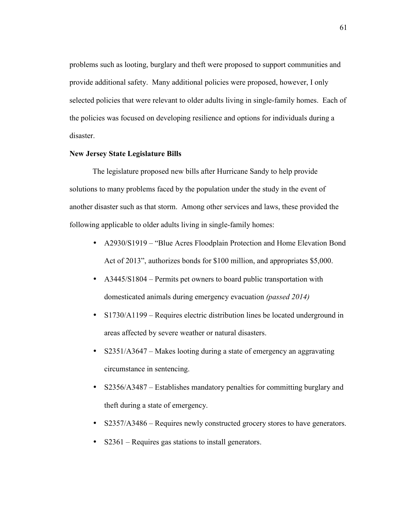problems such as looting, burglary and theft were proposed to support communities and provide additional safety. Many additional policies were proposed, however, I only selected policies that were relevant to older adults living in single-family homes. Each of the policies was focused on developing resilience and options for individuals during a disaster.

# **New Jersey State Legislature Bills**

 The legislature proposed new bills after Hurricane Sandy to help provide solutions to many problems faced by the population under the study in the event of another disaster such as that storm. Among other services and laws, these provided the following applicable to older adults living in single-family homes:

- A2930/S1919 "Blue Acres Floodplain Protection and Home Elevation Bond Act of 2013", authorizes bonds for \$100 million, and appropriates \$5,000.
- A3445/S1804 Permits pet owners to board public transportation with domesticated animals during emergency evacuation *(passed 2014)*
- S1730/A1199 Requires electric distribution lines be located underground in areas affected by severe weather or natural disasters.
- S2351/A3647 Makes looting during a state of emergency an aggravating circumstance in sentencing.
- S2356/A3487 Establishes mandatory penalties for committing burglary and theft during a state of emergency.
- S2357/A3486 Requires newly constructed grocery stores to have generators.
- S2361 Requires gas stations to install generators.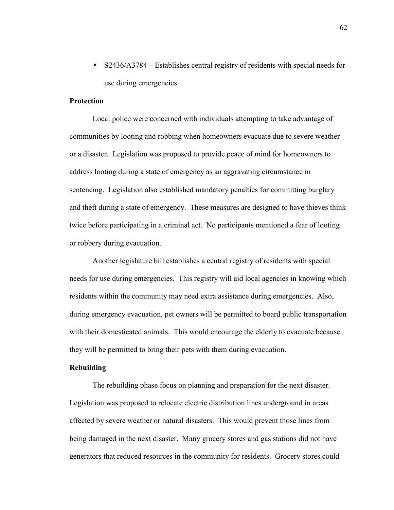• S2436/A3784 – Establishes central registry of residents with special needs for use during emergencies.

## **Protection**

 Local police were concerned with individuals attempting to take advantage of communities by looting and robbing when homeowners evacuate due to severe weather or a disaster. Legislation was proposed to provide peace of mind for homeowners to address looting during a state of emergency as an aggravating circumstance in sentencing. Legislation also established mandatory penalties for committing burglary and theft during a state of emergency. These measures are designed to have thieves think twice before participating in a criminal act. No participants mentioned a fear of looting or robbery during evacuation.

 Another legislature bill establishes a central registry of residents with special needs for use during emergencies. This registry will aid local agencies in knowing which residents within the community may need extra assistance during emergencies. Also, during emergency evacuation, pet owners will be permitted to board public transportation with their domesticated animals. This would encourage the elderly to evacuate because they will be permitted to bring their pets with them during evacuation.

### **Rebuilding**

 The rebuilding phase focus on planning and preparation for the next disaster. Legislation was proposed to relocate electric distribution lines underground in areas affected by severe weather or natural disasters. This would prevent those lines from being damaged in the next disaster. Many grocery stores and gas stations did not have generators that reduced resources in the community for residents. Grocery stores could

62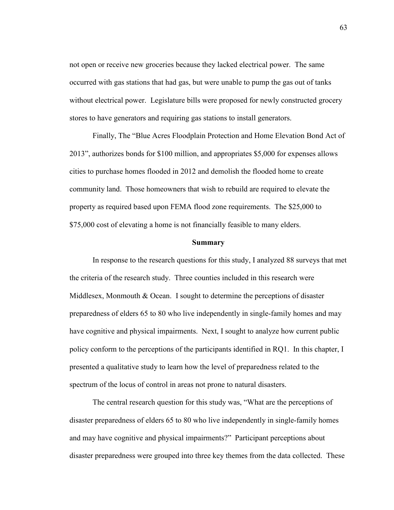not open or receive new groceries because they lacked electrical power. The same occurred with gas stations that had gas, but were unable to pump the gas out of tanks without electrical power. Legislature bills were proposed for newly constructed grocery stores to have generators and requiring gas stations to install generators.

Finally, The "Blue Acres Floodplain Protection and Home Elevation Bond Act of 2013", authorizes bonds for \$100 million, and appropriates \$5,000 for expenses allows cities to purchase homes flooded in 2012 and demolish the flooded home to create community land. Those homeowners that wish to rebuild are required to elevate the property as required based upon FEMA flood zone requirements. The \$25,000 to \$75,000 cost of elevating a home is not financially feasible to many elders.

#### **Summary**

In response to the research questions for this study, I analyzed 88 surveys that met the criteria of the research study. Three counties included in this research were Middlesex, Monmouth & Ocean. I sought to determine the perceptions of disaster preparedness of elders 65 to 80 who live independently in single-family homes and may have cognitive and physical impairments. Next, I sought to analyze how current public policy conform to the perceptions of the participants identified in RQ1. In this chapter, I presented a qualitative study to learn how the level of preparedness related to the spectrum of the locus of control in areas not prone to natural disasters.

The central research question for this study was, "What are the perceptions of disaster preparedness of elders 65 to 80 who live independently in single-family homes and may have cognitive and physical impairments?" Participant perceptions about disaster preparedness were grouped into three key themes from the data collected. These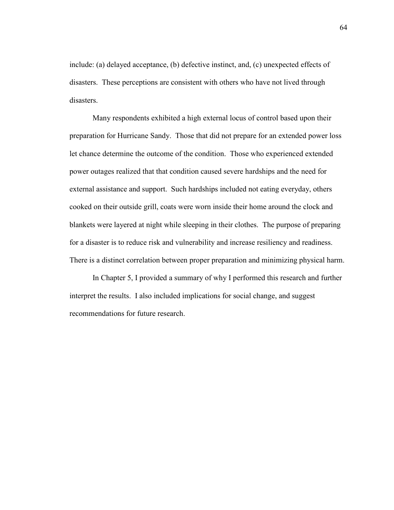include: (a) delayed acceptance, (b) defective instinct, and, (c) unexpected effects of disasters. These perceptions are consistent with others who have not lived through disasters.

 Many respondents exhibited a high external locus of control based upon their preparation for Hurricane Sandy. Those that did not prepare for an extended power loss let chance determine the outcome of the condition. Those who experienced extended power outages realized that that condition caused severe hardships and the need for external assistance and support. Such hardships included not eating everyday, others cooked on their outside grill, coats were worn inside their home around the clock and blankets were layered at night while sleeping in their clothes. The purpose of preparing for a disaster is to reduce risk and vulnerability and increase resiliency and readiness. There is a distinct correlation between proper preparation and minimizing physical harm.

 In Chapter 5, I provided a summary of why I performed this research and further interpret the results. I also included implications for social change, and suggest recommendations for future research.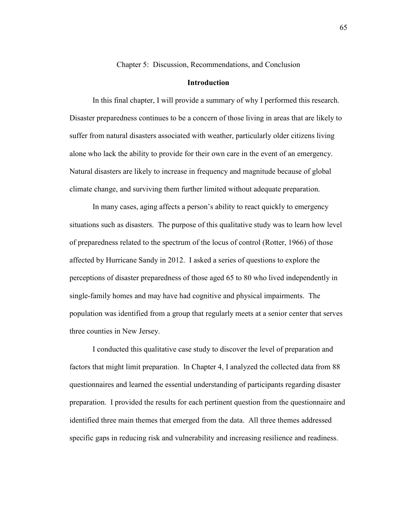Chapter 5: Discussion, Recommendations, and Conclusion

## **Introduction**

 In this final chapter, I will provide a summary of why I performed this research. Disaster preparedness continues to be a concern of those living in areas that are likely to suffer from natural disasters associated with weather, particularly older citizens living alone who lack the ability to provide for their own care in the event of an emergency. Natural disasters are likely to increase in frequency and magnitude because of global climate change, and surviving them further limited without adequate preparation.

In many cases, aging affects a person's ability to react quickly to emergency situations such as disasters. The purpose of this qualitative study was to learn how level of preparedness related to the spectrum of the locus of control (Rotter, 1966) of those affected by Hurricane Sandy in 2012. I asked a series of questions to explore the perceptions of disaster preparedness of those aged 65 to 80 who lived independently in single-family homes and may have had cognitive and physical impairments. The population was identified from a group that regularly meets at a senior center that serves three counties in New Jersey.

 I conducted this qualitative case study to discover the level of preparation and factors that might limit preparation. In Chapter 4, I analyzed the collected data from 88 questionnaires and learned the essential understanding of participants regarding disaster preparation. I provided the results for each pertinent question from the questionnaire and identified three main themes that emerged from the data. All three themes addressed specific gaps in reducing risk and vulnerability and increasing resilience and readiness.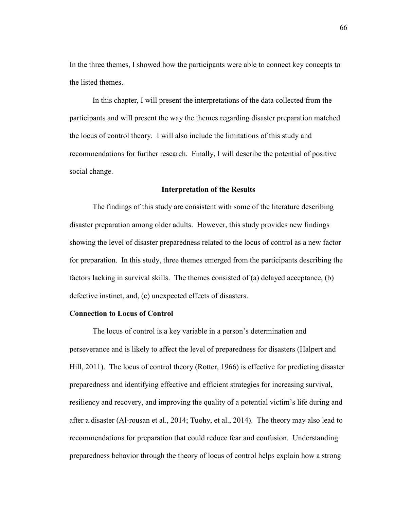In the three themes, I showed how the participants were able to connect key concepts to the listed themes.

 In this chapter, I will present the interpretations of the data collected from the participants and will present the way the themes regarding disaster preparation matched the locus of control theory. I will also include the limitations of this study and recommendations for further research. Finally, I will describe the potential of positive social change.

#### **Interpretation of the Results**

 The findings of this study are consistent with some of the literature describing disaster preparation among older adults. However, this study provides new findings showing the level of disaster preparedness related to the locus of control as a new factor for preparation. In this study, three themes emerged from the participants describing the factors lacking in survival skills. The themes consisted of (a) delayed acceptance, (b) defective instinct, and, (c) unexpected effects of disasters.

#### **Connection to Locus of Control**

The locus of control is a key variable in a person's determination and perseverance and is likely to affect the level of preparedness for disasters (Halpert and Hill, 2011). The locus of control theory (Rotter, 1966) is effective for predicting disaster preparedness and identifying effective and efficient strategies for increasing survival, resiliency and recovery, and improving the quality of a potential victim's life during and after a disaster (Al-rousan et al., 2014; Tuohy, et al., 2014). The theory may also lead to recommendations for preparation that could reduce fear and confusion. Understanding preparedness behavior through the theory of locus of control helps explain how a strong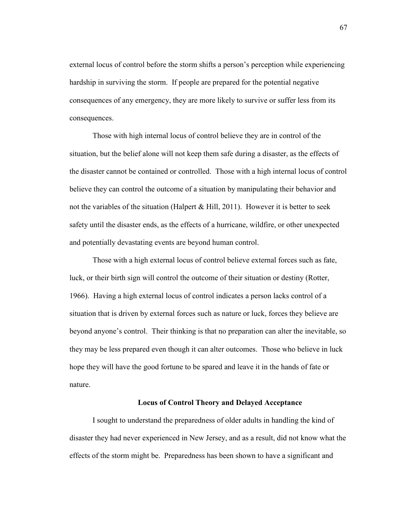external locus of control before the storm shifts a person's perception while experiencing hardship in surviving the storm. If people are prepared for the potential negative consequences of any emergency, they are more likely to survive or suffer less from its consequences.

Those with high internal locus of control believe they are in control of the situation, but the belief alone will not keep them safe during a disaster, as the effects of the disaster cannot be contained or controlled. Those with a high internal locus of control believe they can control the outcome of a situation by manipulating their behavior and not the variables of the situation (Halpert  $\&$  Hill, 2011). However it is better to seek safety until the disaster ends, as the effects of a hurricane, wildfire, or other unexpected and potentially devastating events are beyond human control.

Those with a high external locus of control believe external forces such as fate, luck, or their birth sign will control the outcome of their situation or destiny (Rotter, 1966). Having a high external locus of control indicates a person lacks control of a situation that is driven by external forces such as nature or luck, forces they believe are beyond anyone's control. Their thinking is that no preparation can alter the inevitable, so they may be less prepared even though it can alter outcomes. Those who believe in luck hope they will have the good fortune to be spared and leave it in the hands of fate or nature.

## **Locus of Control Theory and Delayed Acceptance**

I sought to understand the preparedness of older adults in handling the kind of disaster they had never experienced in New Jersey, and as a result, did not know what the effects of the storm might be. Preparedness has been shown to have a significant and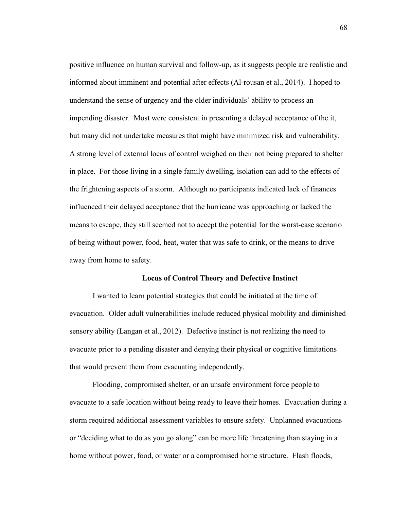positive influence on human survival and follow-up, as it suggests people are realistic and informed about imminent and potential after effects (Al-rousan et al., 2014). I hoped to understand the sense of urgency and the older individuals' ability to process an impending disaster. Most were consistent in presenting a delayed acceptance of the it, but many did not undertake measures that might have minimized risk and vulnerability. A strong level of external locus of control weighed on their not being prepared to shelter in place. For those living in a single family dwelling, isolation can add to the effects of the frightening aspects of a storm. Although no participants indicated lack of finances influenced their delayed acceptance that the hurricane was approaching or lacked the means to escape, they still seemed not to accept the potential for the worst-case scenario of being without power, food, heat, water that was safe to drink, or the means to drive away from home to safety.

#### **Locus of Control Theory and Defective Instinct**

I wanted to learn potential strategies that could be initiated at the time of evacuation. Older adult vulnerabilities include reduced physical mobility and diminished sensory ability (Langan et al., 2012). Defective instinct is not realizing the need to evacuate prior to a pending disaster and denying their physical or cognitive limitations that would prevent them from evacuating independently.

Flooding, compromised shelter, or an unsafe environment force people to evacuate to a safe location without being ready to leave their homes. Evacuation during a storm required additional assessment variables to ensure safety. Unplanned evacuations or "deciding what to do as you go along" can be more life threatening than staying in a home without power, food, or water or a compromised home structure. Flash floods,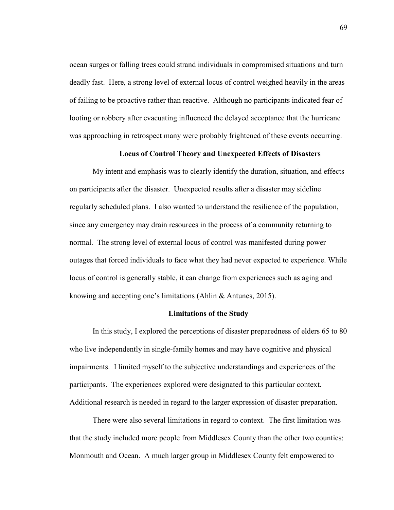ocean surges or falling trees could strand individuals in compromised situations and turn deadly fast. Here, a strong level of external locus of control weighed heavily in the areas of failing to be proactive rather than reactive. Although no participants indicated fear of looting or robbery after evacuating influenced the delayed acceptance that the hurricane was approaching in retrospect many were probably frightened of these events occurring.

## **Locus of Control Theory and Unexpected Effects of Disasters**

My intent and emphasis was to clearly identify the duration, situation, and effects on participants after the disaster. Unexpected results after a disaster may sideline regularly scheduled plans. I also wanted to understand the resilience of the population, since any emergency may drain resources in the process of a community returning to normal. The strong level of external locus of control was manifested during power outages that forced individuals to face what they had never expected to experience. While locus of control is generally stable, it can change from experiences such as aging and knowing and accepting one's limitations (Ahlin & Antunes, 2015).

#### **Limitations of the Study**

In this study, I explored the perceptions of disaster preparedness of elders 65 to 80 who live independently in single-family homes and may have cognitive and physical impairments. I limited myself to the subjective understandings and experiences of the participants. The experiences explored were designated to this particular context. Additional research is needed in regard to the larger expression of disaster preparation.

 There were also several limitations in regard to context. The first limitation was that the study included more people from Middlesex County than the other two counties: Monmouth and Ocean. A much larger group in Middlesex County felt empowered to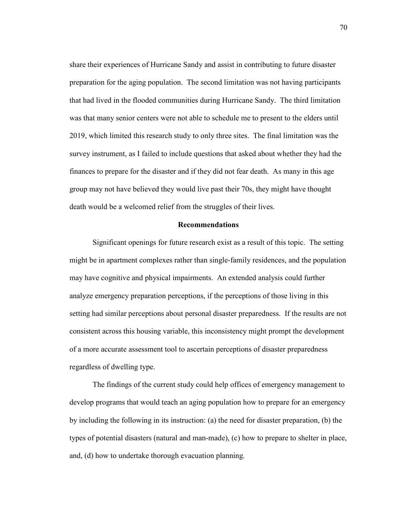share their experiences of Hurricane Sandy and assist in contributing to future disaster preparation for the aging population. The second limitation was not having participants that had lived in the flooded communities during Hurricane Sandy. The third limitation was that many senior centers were not able to schedule me to present to the elders until 2019, which limited this research study to only three sites. The final limitation was the survey instrument, as I failed to include questions that asked about whether they had the finances to prepare for the disaster and if they did not fear death. As many in this age group may not have believed they would live past their 70s, they might have thought death would be a welcomed relief from the struggles of their lives.

## **Recommendations**

 Significant openings for future research exist as a result of this topic. The setting might be in apartment complexes rather than single-family residences, and the population may have cognitive and physical impairments. An extended analysis could further analyze emergency preparation perceptions, if the perceptions of those living in this setting had similar perceptions about personal disaster preparedness. If the results are not consistent across this housing variable, this inconsistency might prompt the development of a more accurate assessment tool to ascertain perceptions of disaster preparedness regardless of dwelling type.

 The findings of the current study could help offices of emergency management to develop programs that would teach an aging population how to prepare for an emergency by including the following in its instruction: (a) the need for disaster preparation, (b) the types of potential disasters (natural and man-made), (c) how to prepare to shelter in place, and, (d) how to undertake thorough evacuation planning.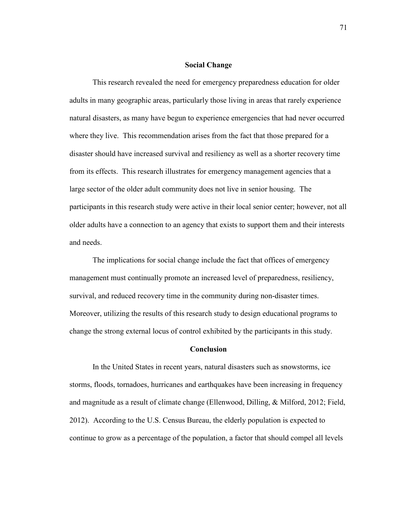#### **Social Change**

 This research revealed the need for emergency preparedness education for older adults in many geographic areas, particularly those living in areas that rarely experience natural disasters, as many have begun to experience emergencies that had never occurred where they live. This recommendation arises from the fact that those prepared for a disaster should have increased survival and resiliency as well as a shorter recovery time from its effects. This research illustrates for emergency management agencies that a large sector of the older adult community does not live in senior housing. The participants in this research study were active in their local senior center; however, not all older adults have a connection to an agency that exists to support them and their interests and needs.

The implications for social change include the fact that offices of emergency management must continually promote an increased level of preparedness, resiliency, survival, and reduced recovery time in the community during non-disaster times. Moreover, utilizing the results of this research study to design educational programs to change the strong external locus of control exhibited by the participants in this study.

#### **Conclusion**

In the United States in recent years, natural disasters such as snowstorms, ice storms, floods, tornadoes, hurricanes and earthquakes have been increasing in frequency and magnitude as a result of climate change (Ellenwood, Dilling, & Milford, 2012; Field, 2012). According to the U.S. Census Bureau, the elderly population is expected to continue to grow as a percentage of the population, a factor that should compel all levels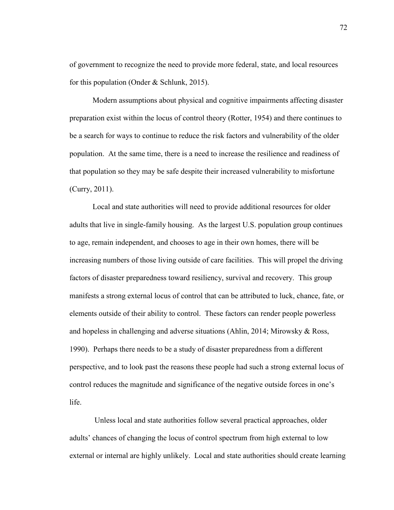of government to recognize the need to provide more federal, state, and local resources for this population (Onder & Schlunk, 2015).

Modern assumptions about physical and cognitive impairments affecting disaster preparation exist within the locus of control theory (Rotter, 1954) and there continues to be a search for ways to continue to reduce the risk factors and vulnerability of the older population. At the same time, there is a need to increase the resilience and readiness of that population so they may be safe despite their increased vulnerability to misfortune (Curry, 2011).

Local and state authorities will need to provide additional resources for older adults that live in single-family housing. As the largest U.S. population group continues to age, remain independent, and chooses to age in their own homes, there will be increasing numbers of those living outside of care facilities. This will propel the driving factors of disaster preparedness toward resiliency, survival and recovery. This group manifests a strong external locus of control that can be attributed to luck, chance, fate, or elements outside of their ability to control. These factors can render people powerless and hopeless in challenging and adverse situations (Ahlin, 2014; Mirowsky & Ross, 1990). Perhaps there needs to be a study of disaster preparedness from a different perspective, and to look past the reasons these people had such a strong external locus of control reduces the magnitude and significance of the negative outside forces in one's life.

 Unless local and state authorities follow several practical approaches, older adults' chances of changing the locus of control spectrum from high external to low external or internal are highly unlikely. Local and state authorities should create learning

72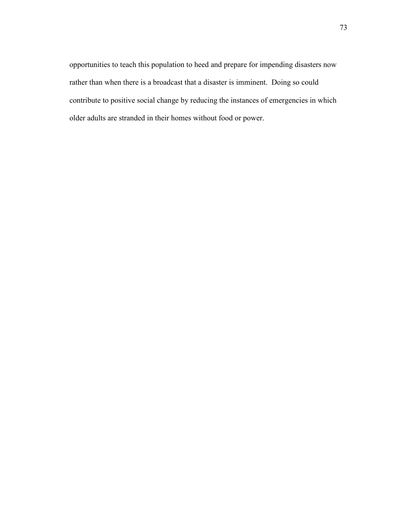opportunities to teach this population to heed and prepare for impending disasters now rather than when there is a broadcast that a disaster is imminent. Doing so could contribute to positive social change by reducing the instances of emergencies in which older adults are stranded in their homes without food or power.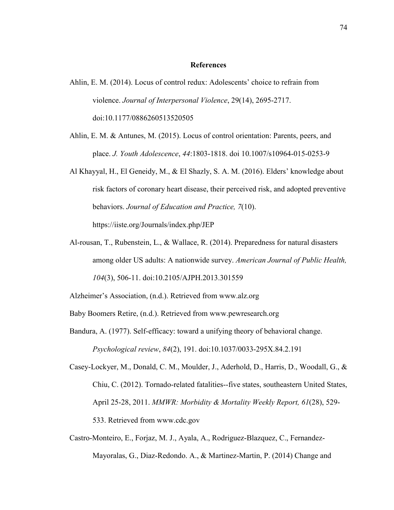#### **References**

- Ahlin, E. M. (2014). Locus of control redux: Adolescents' choice to refrain from violence. *Journal of Interpersonal Violence*, 29(14), 2695-2717. doi:10.1177/0886260513520505
- Ahlin, E. M. & Antunes, M. (2015). Locus of control orientation: Parents, peers, and place. *J. Youth Adolescence*, *44*:1803-1818. doi 10.1007/s10964-015-0253-9
- Al Khayyal, H., El Geneidy, M., & El Shazly, S. A. M. (2016). Elders' knowledge about risk factors of coronary heart disease, their perceived risk, and adopted preventive behaviors. *Journal of Education and Practice, 7*(10). https://iiste.org/Journals/index.php/JEP
- Al-rousan, T., Rubenstein, L., & Wallace, R. (2014). Preparedness for natural disasters among older US adults: A nationwide survey. *American Journal of Public Health, 104*(3), 506-11. doi:10.2105/AJPH.2013.301559

Alzheimer's Association, (n.d.). Retrieved from www.alz.org

Baby Boomers Retire, (n.d.). Retrieved from www.pewresearch.org

- Bandura, A. (1977). Self-efficacy: toward a unifying theory of behavioral change. *Psychological review*, *84*(2), 191. doi:10.1037/0033-295X.84.2.191
- Casey-Lockyer, M., Donald, C. M., Moulder, J., Aderhold, D., Harris, D., Woodall, G., & Chiu, C. (2012). Tornado-related fatalities--five states, southeastern United States, April 25-28, 2011. *MMWR: Morbidity & Mortality Weekly Report, 61*(28), 529- 533. Retrieved from www.cdc.gov
- Castro-Monteiro, E., Forjaz, M. J., Ayala, A., Rodriguez-Blazquez, C., Fernandez-Mayoralas, G., Diaz-Redondo. A., & Martinez-Martin, P. (2014) Change and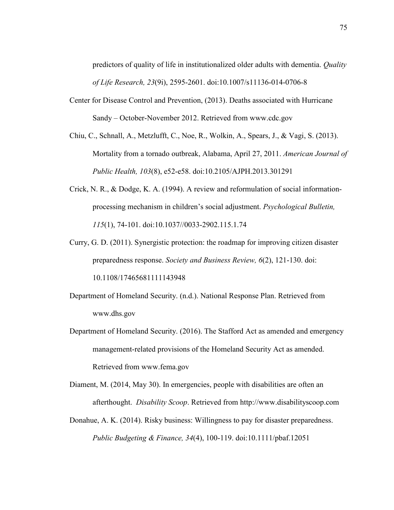predictors of quality of life in institutionalized older adults with dementia. *Quality of Life Research, 23*(9i), 2595-2601. doi:10.1007/s11136-014-0706-8

- Center for Disease Control and Prevention, (2013). Deaths associated with Hurricane Sandy – October-November 2012. Retrieved from www.cdc.gov
- Chiu, C., Schnall, A., Metzlufft, C., Noe, R., Wolkin, A., Spears, J., & Vagi, S. (2013). Mortality from a tornado outbreak, Alabama, April 27, 2011. *American Journal of Public Health, 103*(8), e52-e58. doi:10.2105/AJPH.2013.301291
- Crick, N. R., & Dodge, K. A. (1994). A review and reformulation of social informationprocessing mechanism in children's social adjustment. *Psychological Bulletin, 115*(1), 74-101. doi:10.1037//0033-2902.115.1.74
- Curry, G. D. (2011). Synergistic protection: the roadmap for improving citizen disaster preparedness response. *Society and Business Review, 6*(2), 121-130. doi: 10.1108/17465681111143948

Department of Homeland Security. (n.d.). National Response Plan. Retrieved from www.dhs.gov

- Department of Homeland Security. (2016). The Stafford Act as amended and emergency management-related provisions of the Homeland Security Act as amended. Retrieved from www.fema.gov
- Diament, M. (2014, May 30). In emergencies, people with disabilities are often an afterthought. *Disability Scoop*. Retrieved from http://www.disabilityscoop.com
- Donahue, A. K. (2014). Risky business: Willingness to pay for disaster preparedness. *Public Budgeting & Finance, 34*(4), 100-119. doi:10.1111/pbaf.12051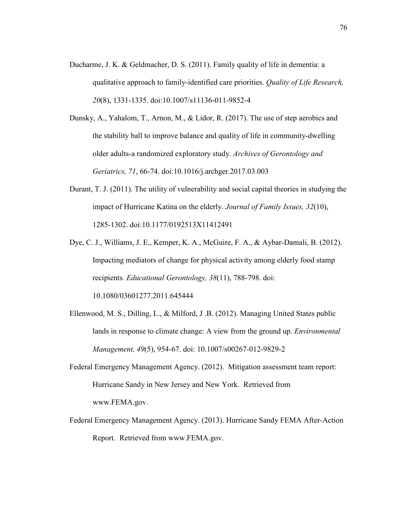- Ducharme, J. K. & Geldmacher, D. S. (2011). Family quality of life in dementia: a qualitative approach to family-identified care priorities. *Quality of Life Research, 20*(8), 1331-1335. doi:10.1007/s11136-011-9852-4
- Dunsky, A., Yahalom, T., Arnon, M., & Lidor, R. (2017). The use of step aerobics and the stability ball to improve balance and quality of life in community-dwelling older adults-a randomized exploratory study. *Archives of Gerontology and Geriatrics, 71*, 66-74. doi:10.1016/j.archger.2017.03.003
- Durant, T. J. (2011). The utility of vulnerability and social capital theories in studying the impact of Hurricane Katina on the elderly. *Journal of Family Issues, 32*(10), 1285-1302. doi:10.1177/0192513X11412491
- Dye, C. J., Williams, J. E., Kemper, K. A., McGuire, F. A., & Aybar-Damali, B. (2012). Impacting mediators of change for physical activity among elderly food stamp recipients*. Educational Gerontology, 38*(11), 788-798. doi:

10.1080/03601277.2011.645444

- Ellenwood, M. S., Dilling, L., & Milford, J .B. (2012). Managing United States public lands in response to climate change: A view from the ground up. *Environmental Management, 49*(5), 954-67. doi: 10.1007/s00267-012-9829-2
- Federal Emergency Management Agency. (2012). Mitigation assessment team report: Hurricane Sandy in New Jersey and New York. Retrieved from www.FEMA.gov.
- Federal Emergency Management Agency. (2013). Hurricane Sandy FEMA After-Action Report. Retrieved from www.FEMA.gov.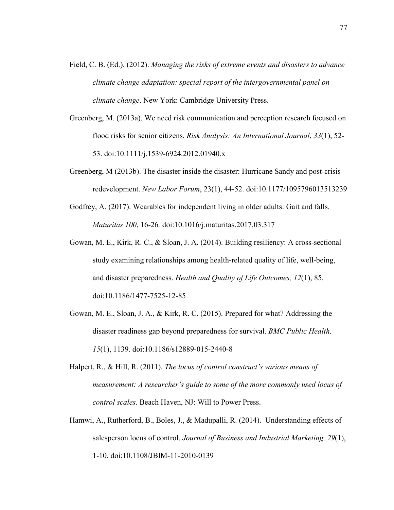- Field, C. B. (Ed.). (2012). *Managing the risks of extreme events and disasters to advance climate change adaptation: special report of the intergovernmental panel on climate change*. New York: Cambridge University Press.
- Greenberg, M. (2013a). We need risk communication and perception research focused on flood risks for senior citizens. *Risk Analysis: An International Journal*, *33*(1), 52- 53. doi:10.1111/j.1539-6924.2012.01940.x
- Greenberg, M (2013b). The disaster inside the disaster: Hurricane Sandy and post-crisis redevelopment. *New Labor Forum*, 23(1), 44-52. doi:10.1177/1095796013513239
- Godfrey, A. (2017). Wearables for independent living in older adults: Gait and falls. *Maturitas 100*, 16-26*.* doi:10.1016/j.maturitas.2017.03.317
- Gowan, M. E., Kirk, R. C., & Sloan, J. A. (2014). Building resiliency: A cross-sectional study examining relationships among health-related quality of life, well-being, and disaster preparedness. *Health and Quality of Life Outcomes, 12*(1), 85. doi:10.1186/1477-7525-12-85
- Gowan, M. E., Sloan, J. A., & Kirk, R. C. (2015). Prepared for what? Addressing the disaster readiness gap beyond preparedness for survival. *BMC Public Health, 15*(1), 1139. doi:10.1186/s12889-015-2440-8
- Halpert, R., & Hill, R. (2011). *The locus of control construct's various means of measurement: A researcher's guide to some of the more commonly used locus of control scales*. Beach Haven, NJ: Will to Power Press.
- Hamwi, A., Rutherford, B., Boles, J., & Madupalli, R. (2014). Understanding effects of salesperson locus of control. *Journal of Business and Industrial Marketing, 29*(1), 1-10. doi:10.1108/JBIM-11-2010-0139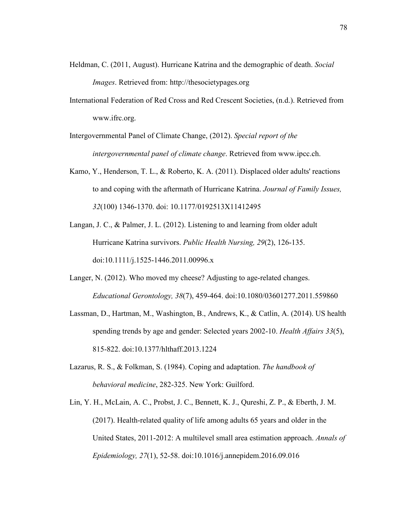- Heldman, C. (2011, August). Hurricane Katrina and the demographic of death. *Social Images*. Retrieved from: http://thesocietypages.org
- International Federation of Red Cross and Red Crescent Societies, (n.d.). Retrieved from www.ifrc.org.
- Intergovernmental Panel of Climate Change, (2012). *Special report of the intergovernmental panel of climate change*. Retrieved from www.ipcc.ch.
- Kamo, Y., Henderson, T. L., & Roberto, K. A. (2011). Displaced older adults' reactions to and coping with the aftermath of Hurricane Katrina. *Journal of Family Issues, 32*(100) 1346-1370. doi: 10.1177/0192513X11412495
- Langan, J. C., & Palmer, J. L. (2012). Listening to and learning from older adult Hurricane Katrina survivors. *Public Health Nursing, 29*(2), 126-135. doi:10.1111/j.1525-1446.2011.00996.x
- Langer, N. (2012). Who moved my cheese? Adjusting to age-related changes. *Educational Gerontology, 38*(7), 459-464. doi:10.1080/03601277.2011.559860
- Lassman, D., Hartman, M., Washington, B., Andrews, K., & Catlin, A. (2014). US health spending trends by age and gender: Selected years 2002-10. *Health Affairs 33*(5), 815-822. doi:10.1377/hlthaff.2013.1224
- Lazarus, R. S., & Folkman, S. (1984). Coping and adaptation. *The handbook of behavioral medicine*, 282-325. New York: Guilford.
- Lin, Y. H., McLain, A. C., Probst, J. C., Bennett, K. J., Qureshi, Z. P., & Eberth, J. M. (2017). Health-related quality of life among adults 65 years and older in the United States, 2011-2012: A multilevel small area estimation approach. *Annals of Epidemiology, 27*(1), 52-58. doi:10.1016/j.annepidem.2016.09.016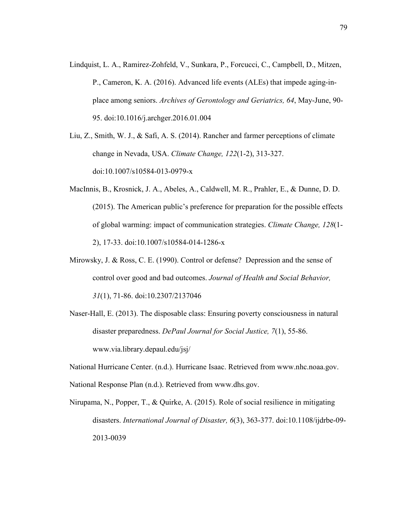- Lindquist, L. A., Ramirez-Zohfeld, V., Sunkara, P., Forcucci, C., Campbell, D., Mitzen, P., Cameron, K. A. (2016). Advanced life events (ALEs) that impede aging-inplace among seniors. *Archives of Gerontology and Geriatrics, 64*, May-June, 90- 95. doi:10.1016/j.archger.2016.01.004
- Liu, Z., Smith, W. J., & Safi, A. S. (2014). Rancher and farmer perceptions of climate change in Nevada, USA. *Climate Change, 122*(1-2), 313-327. doi:10.1007/s10584-013-0979-x
- MacInnis, B., Krosnick, J. A., Abeles, A., Caldwell, M. R., Prahler, E., & Dunne, D. D. (2015). The American public's preference for preparation for the possible effects of global warming: impact of communication strategies. *Climate Change, 128*(1- 2), 17-33. doi:10.1007/s10584-014-1286-x
- Mirowsky, J. & Ross, C. E. (1990). Control or defense? Depression and the sense of control over good and bad outcomes. *Journal of Health and Social Behavior, 31*(1), 71-86. doi:10.2307/2137046
- Naser-Hall, E. (2013). The disposable class: Ensuring poverty consciousness in natural disaster preparedness. *DePaul Journal for Social Justice, 7*(1), 55-86. www.via.library.depaul.edu/jsj/

National Hurricane Center. (n.d.). Hurricane Isaac. Retrieved from www.nhc.noaa.gov. National Response Plan (n.d.). Retrieved from www.dhs.gov.

Nirupama, N., Popper, T., & Quirke, A. (2015). Role of social resilience in mitigating disasters. *International Journal of Disaster, 6*(3), 363-377. doi:10.1108/ijdrbe-09- 2013-0039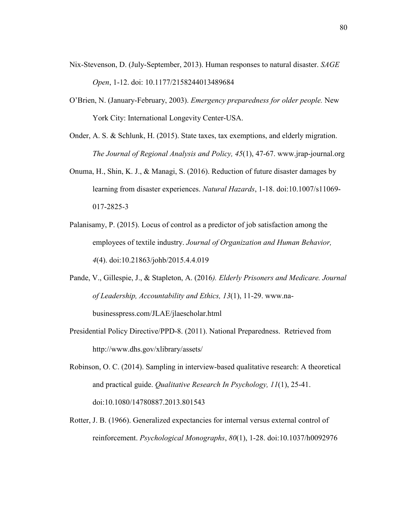- Nix-Stevenson, D. (July-September, 2013). Human responses to natural disaster. *SAGE Open*, 1-12. doi: 10.1177/2158244013489684
- O'Brien, N. (January-February, 2003). *Emergency preparedness for older people.* New York City: International Longevity Center-USA.
- Onder, A. S. & Schlunk, H. (2015). State taxes, tax exemptions, and elderly migration. *The Journal of Regional Analysis and Policy, 45*(1), 47-67. www.jrap-journal.org
- Onuma, H., Shin, K. J., & Managi, S. (2016). Reduction of future disaster damages by learning from disaster experiences. *Natural Hazards*, 1-18. doi:10.1007/s11069- 017-2825-3
- Palanisamy, P. (2015). Locus of control as a predictor of job satisfaction among the employees of textile industry. *Journal of Organization and Human Behavior, 4*(4). doi:10.21863/johb/2015.4.4.019
- Pande, V., Gillespie, J., & Stapleton, A. (2016*). Elderly Prisoners and Medicare. Journal of Leadership, Accountability and Ethics, 13*(1), 11-29. www.nabusinesspress.com/JLAE/jlaescholar.html
- Presidential Policy Directive/PPD-8. (2011). National Preparedness. Retrieved from http://www.dhs.gov/xlibrary/assets/
- Robinson, O. C. (2014). Sampling in interview-based qualitative research: A theoretical and practical guide. *Qualitative Research In Psychology, 11*(1), 25-41. doi:10.1080/14780887.2013.801543
- Rotter, J. B. (1966). Generalized expectancies for internal versus external control of reinforcement. *Psychological Monographs*, *80*(1), 1-28. doi:10.1037/h0092976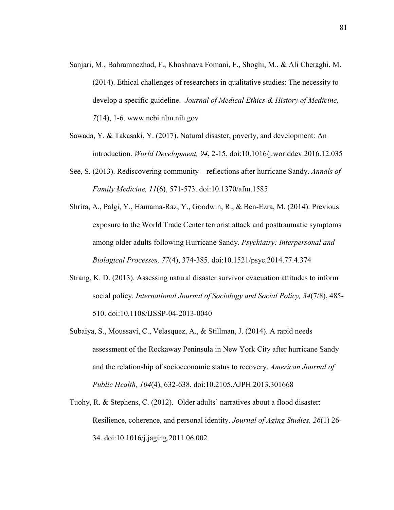- Sanjari, M., Bahramnezhad, F., Khoshnava Fomani, F., Shoghi, M., & Ali Cheraghi, M. (2014). Ethical challenges of researchers in qualitative studies: The necessity to develop a specific guideline. *Journal of Medical Ethics & History of Medicine, 7*(14), 1-6. www.ncbi.nlm.nih.gov
- Sawada, Y. & Takasaki, Y. (2017). Natural disaster, poverty, and development: An introduction. *World Development, 94*, 2-15. doi:10.1016/j.worlddev.2016.12.035
- See, S. (2013). Rediscovering community—reflections after hurricane Sandy. *Annals of Family Medicine, 11*(6), 571-573. doi:10.1370/afm.1585
- Shrira, A., Palgi, Y., Hamama-Raz, Y., Goodwin, R., & Ben-Ezra, M. (2014). Previous exposure to the World Trade Center terrorist attack and posttraumatic symptoms among older adults following Hurricane Sandy. *Psychiatry: Interpersonal and Biological Processes, 77*(4), 374-385. doi:10.1521/psyc.2014.77.4.374
- Strang, K. D. (2013). Assessing natural disaster survivor evacuation attitudes to inform social policy. *International Journal of Sociology and Social Policy, 34*(7/8), 485- 510. doi:10.1108/IJSSP-04-2013-0040
- Subaiya, S., Moussavi, C., Velasquez, A., & Stillman, J. (2014). A rapid needs assessment of the Rockaway Peninsula in New York City after hurricane Sandy and the relationship of socioeconomic status to recovery. *American Journal of Public Health, 104*(4), 632-638. doi:10.2105.AJPH.2013.301668
- Tuohy, R. & Stephens, C. (2012). Older adults' narratives about a flood disaster: Resilience, coherence, and personal identity. *Journal of Aging Studies, 26*(1) 26- 34. doi:10.1016/j.jaging.2011.06.002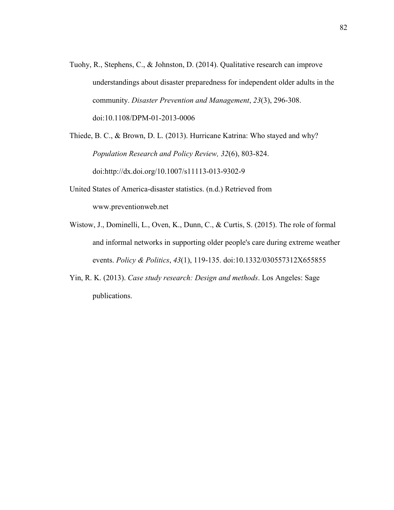Tuohy, R., Stephens, C., & Johnston, D. (2014). Qualitative research can improve understandings about disaster preparedness for independent older adults in the community. *Disaster Prevention and Management*, *23*(3), 296-308. doi:10.1108/DPM-01-2013-0006

Thiede, B. C., & Brown, D. L. (2013). Hurricane Katrina: Who stayed and why? *Population Research and Policy Review, 32*(6), 803-824. doi:http://dx.doi.org/10.1007/s11113-013-9302-9

- United States of America-disaster statistics. (n.d.) Retrieved from www.preventionweb.net
- Wistow, J., Dominelli, L., Oven, K., Dunn, C., & Curtis, S. (2015). The role of formal and informal networks in supporting older people's care during extreme weather events. *Policy & Politics*, *43*(1), 119-135. doi:10.1332/030557312X655855
- Yin, R. K. (2013). *Case study research: Design and methods*. Los Angeles: Sage publications.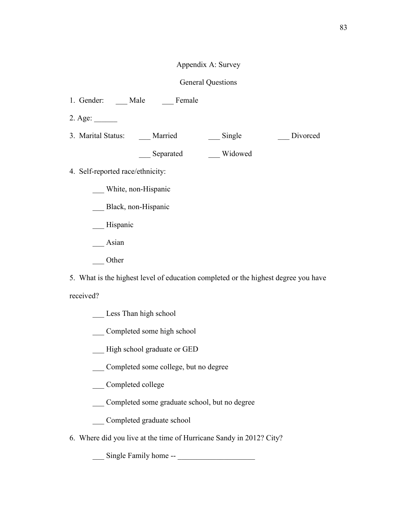# Appendix A: Survey

# General Questions

1. Gender: \_\_\_ Male \_\_\_ Female

2. Age: \_\_\_\_\_\_

3. Marital Status: Married Single Divorced

\_\_\_ Separated \_\_\_ Widowed

- 4. Self-reported race/ethnicity:
	- \_\_\_ White, non-Hispanic
	- Black, non-Hispanic
	- **Hispanic**
	- \_\_\_ Asian
	- \_\_\_ Other

5. What is the highest level of education completed or the highest degree you have received?

- Less Than high school
- \_\_\_ Completed some high school
- \_\_\_ High school graduate or GED
- \_\_\_ Completed some college, but no degree
- \_\_\_ Completed college
- \_\_\_ Completed some graduate school, but no degree
- \_\_\_ Completed graduate school
- 6. Where did you live at the time of Hurricane Sandy in 2012? City?

\_\_\_ Single Family home -- \_\_\_\_\_\_\_\_\_\_\_\_\_\_\_\_\_\_\_\_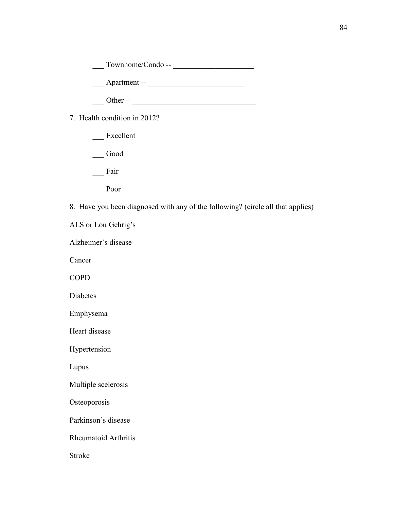\_\_\_ Townhome/Condo -- \_\_\_\_\_\_\_\_\_\_\_\_\_\_\_\_\_\_\_\_\_

\_\_\_ Apartment -- \_\_\_\_\_\_\_\_\_\_\_\_\_\_\_\_\_\_\_\_\_\_\_\_\_

 $\Box$  Other --  $\Box$ 

7. Health condition in 2012?

- Excellent
- \_\_\_ Good
- \_\_\_ Fair
- \_\_\_ Poor

8. Have you been diagnosed with any of the following? (circle all that applies)

ALS or Lou Gehrig's

Alzheimer's disease

Cancer

COPD

Diabetes

Emphysema

Heart disease

Hypertension

Lupus

Multiple scelerosis

**Osteoporosis** 

Parkinson's disease

Rheumatoid Arthritis

Stroke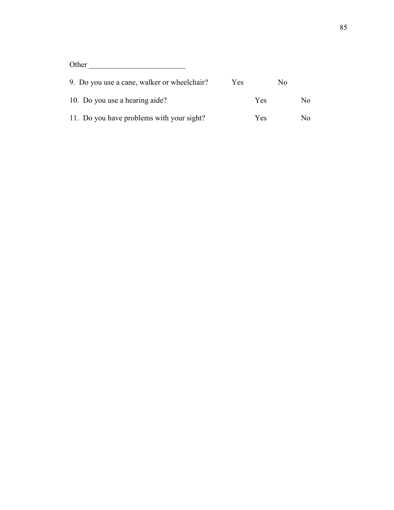Other \_\_\_\_\_\_\_\_\_\_\_\_\_\_\_\_\_\_\_\_\_\_\_\_\_

| 9. Do you use a cane, walker or wheelchair? | Yes.       | Nο |     |
|---------------------------------------------|------------|----|-----|
| 10. Do you use a hearing aide?              | <b>Yes</b> |    | No. |
| 11. Do you have problems with your sight?   | <b>Yes</b> |    | No. |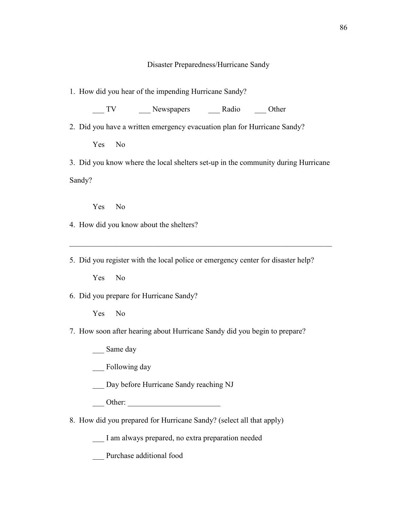## Disaster Preparedness/Hurricane Sandy

1. How did you hear of the impending Hurricane Sandy?

TV Newspapers Radio Other

2. Did you have a written emergency evacuation plan for Hurricane Sandy?

Yes No

3. Did you know where the local shelters set-up in the community during Hurricane Sandy?

Yes No

4. How did you know about the shelters?

5. Did you register with the local police or emergency center for disaster help?

 $\_$  , and the contribution of the contribution of  $\mathcal{L}_\mathcal{A}$  , and the contribution of  $\mathcal{L}_\mathcal{A}$ 

Yes No

6. Did you prepare for Hurricane Sandy?

Yes No

# 7. How soon after hearing about Hurricane Sandy did you begin to prepare?

\_\_\_ Same day

\_\_\_ Following day

\_\_\_ Day before Hurricane Sandy reaching NJ

\_\_\_ Other: \_\_\_\_\_\_\_\_\_\_\_\_\_\_\_\_\_\_\_\_\_\_\_\_

8. How did you prepared for Hurricane Sandy? (select all that apply)

\_\_\_ I am always prepared, no extra preparation needed

\_\_\_ Purchase additional food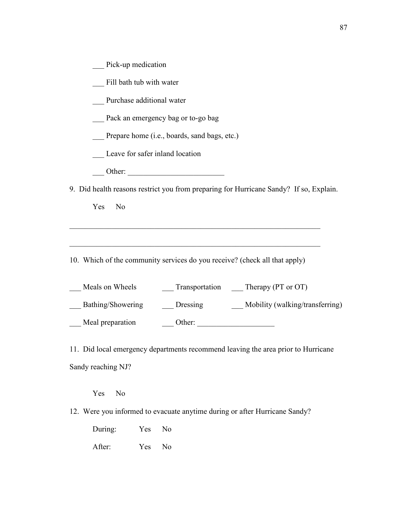|  | Pick-up medication |
|--|--------------------|
|  |                    |

\_\_\_ Fill bath tub with water

\_\_\_ Purchase additional water

\_\_\_ Pack an emergency bag or to-go bag

Prepare home (i.e., boards, sand bags, etc.)

Leave for safer inland location

\_\_\_ Other: \_\_\_\_\_\_\_\_\_\_\_\_\_\_\_\_\_\_\_\_\_\_\_\_\_

9. Did health reasons restrict you from preparing for Hurricane Sandy? If so, Explain.

Yes No

10. Which of the community services do you receive? (check all that apply)

 $\_$  , and the set of the set of the set of the set of the set of the set of the set of the set of the set of the set of the set of the set of the set of the set of the set of the set of the set of the set of the set of th

 $\_$  , and the set of the set of the set of the set of the set of the set of the set of the set of the set of the set of the set of the set of the set of the set of the set of the set of the set of the set of the set of th

| Meals on Wheels   | Transportation | Therapy (PT or OT)              |
|-------------------|----------------|---------------------------------|
| Bathing/Showering | Dressing       | Mobility (walking/transferring) |
| Meal preparation  | Other:         |                                 |

11. Did local emergency departments recommend leaving the area prior to Hurricane Sandy reaching NJ?

Yes No

12. Were you informed to evacuate anytime during or after Hurricane Sandy?

During: Yes No After: Yes No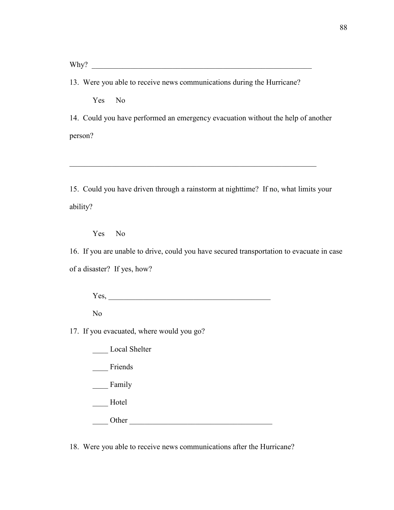Why?

13. Were you able to receive news communications during the Hurricane?

Yes No

14. Could you have performed an emergency evacuation without the help of another person?

15. Could you have driven through a rainstorm at nighttime? If no, what limits your ability?

 $\_$  , and the set of the set of the set of the set of the set of the set of the set of the set of the set of the set of the set of the set of the set of the set of the set of the set of the set of the set of the set of th

Yes No

16. If you are unable to drive, could you have secured transportation to evacuate in case of a disaster? If yes, how?

 $Yes, \_\_$ 

No

17. If you evacuated, where would you go?

\_\_\_\_ Local Shelter

Friends

\_\_\_\_ Family

\_\_\_\_ Hotel

Other  $\Box$ 

18. Were you able to receive news communications after the Hurricane?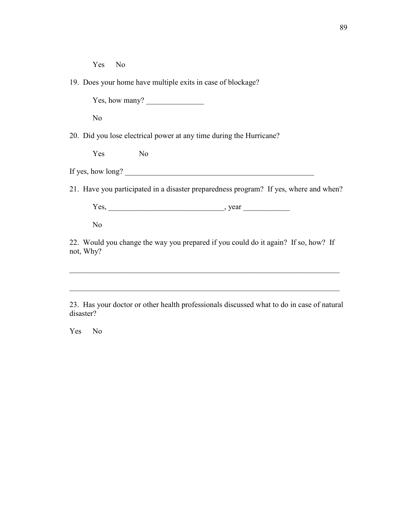Yes No

19. Does your home have multiple exits in case of blockage?

Yes, how many?

No

20. Did you lose electrical power at any time during the Hurricane?

Yes No

If yes, how long?  $\Box$ 

21. Have you participated in a disaster preparedness program? If yes, where and when?

 $Yes, \_\_\_\_\_$ , year  $\_\_\_\_\_$ 

No

22. Would you change the way you prepared if you could do it again? If so, how? If not, Why?

 $\_$  , and the contribution of the contribution of  $\mathcal{L}_\mathcal{A}$  , and the contribution of  $\mathcal{L}_\mathcal{A}$ 

23. Has your doctor or other health professionals discussed what to do in case of natural disaster?

 $\mathcal{L}_\text{max} = \mathcal{L}_\text{max} = \mathcal{L}_\text{max} = \mathcal{L}_\text{max} = \mathcal{L}_\text{max} = \mathcal{L}_\text{max} = \mathcal{L}_\text{max} = \mathcal{L}_\text{max} = \mathcal{L}_\text{max} = \mathcal{L}_\text{max} = \mathcal{L}_\text{max} = \mathcal{L}_\text{max} = \mathcal{L}_\text{max} = \mathcal{L}_\text{max} = \mathcal{L}_\text{max} = \mathcal{L}_\text{max} = \mathcal{L}_\text{max} = \mathcal{L}_\text{max} = \mathcal{$ 

Yes No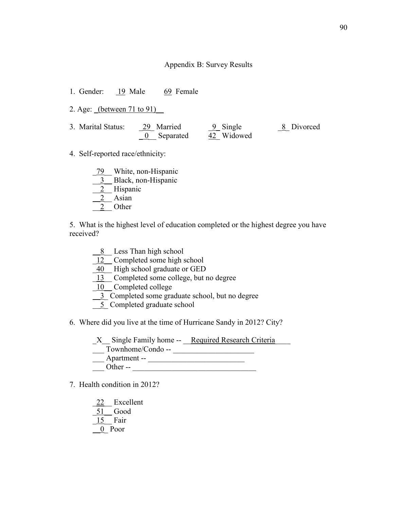## Appendix B: Survey Results

1. Gender: 19 Male 69 Female

2. Age: (between 71 to 91)

- 3. Marital Status: 29 Married <u>9</u> Single 2 <u>8</u> Divorced  $\underline{0}$  Separated  $\underline{42}$  Widowed
- 4. Self-reported race/ethnicity:
	- 79 White, non-Hispanic
	- 3 Black, non-Hispanic
	- 2 Hispanic
	- 2 Asian
	- 2 Other

5. What is the highest level of education completed or the highest degree you have received?

- \_\_8\_\_ Less Than high school
- \_12\_\_ Completed some high school
- \_40\_\_ High school graduate or GED
- 13\_ Completed some college, but no degree

10 Completed college

- \_\_3\_ Completed some graduate school, but no degree
- \_\_5\_ Completed graduate school
- 6. Where did you live at the time of Hurricane Sandy in 2012? City?
	- X Single Family home -- Required Research Criteria
	- $\frac{\text{SUSY}}{\text{SUSY}}$  Townhome/Condo --  $\frac{\text{SUSY}}{\text{SUSY}}$
	- $\frac{1}{2}$  Apartment --
	- $\Box$  Other --  $\Box$
- 7. Health condition in 2012?
	- 22 Excellent
	- $\underline{51}$  Good
	- $15$  Fair
	- \_\_0\_ Poor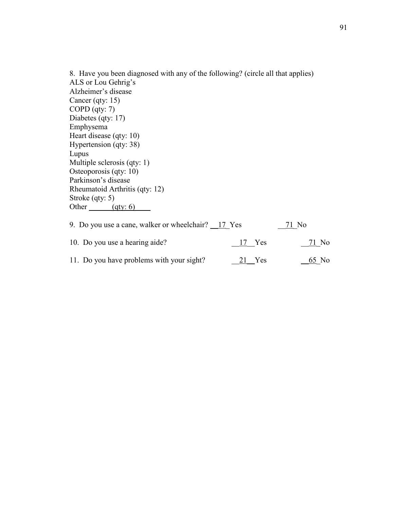8. Have you been diagnosed with any of the following? (circle all that applies) ALS or Lou Gehrig's Alzheimer's disease Cancer (qty: 15) COPD (qty: 7) Diabetes (qty: 17) Emphysema Heart disease (qty: 10) Hypertension (qty: 38) Lupus Multiple sclerosis (qty: 1) Osteoporosis (qty: 10) Parkinson's disease Rheumatoid Arthritis (qty: 12) Stroke (qty: 5) Other  $\frac{(qty: 6)}{2}$ 9. Do you use a cane, walker or wheelchair?  $17$  Yes  $71$  No

| $\lambda$ . Do you use a cane, wanter or wheelenging. The rest |               | 71110         |
|----------------------------------------------------------------|---------------|---------------|
| 10. Do you use a hearing aide?                                 | 17 Yes        | 71 No         |
| 11. Do you have problems with your sight?                      | <u>21</u> Yes | <u>-65</u> No |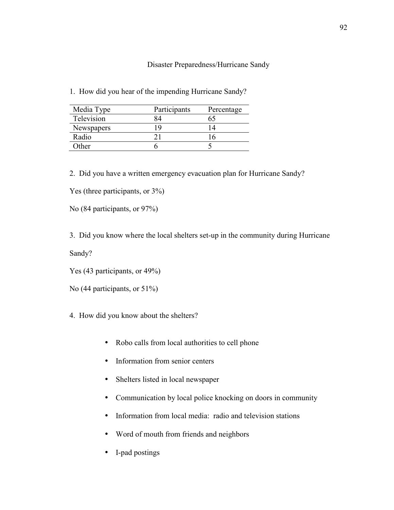Disaster Preparedness/Hurricane Sandy

1. How did you hear of the impending Hurricane Sandy?

| Media Type | Participants | Percentage |
|------------|--------------|------------|
| Television |              |            |
| Newspapers |              |            |
| Radio      |              |            |
| )ther      |              |            |

2. Did you have a written emergency evacuation plan for Hurricane Sandy?

Yes (three participants, or  $3\%$ )

No (84 participants, or 97%)

3. Did you know where the local shelters set-up in the community during Hurricane Sandy?

Yes (43 participants, or 49%)

No (44 participants, or 51%)

- 4. How did you know about the shelters?
	- Robo calls from local authorities to cell phone
	- Information from senior centers
	- Shelters listed in local newspaper
	- Communication by local police knocking on doors in community
	- Information from local media: radio and television stations
	- Word of mouth from friends and neighbors
	- I-pad postings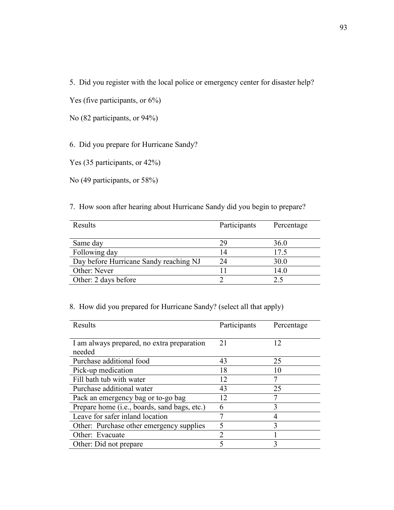5. Did you register with the local police or emergency center for disaster help?

Yes (five participants, or  $6\%$ )

No (82 participants, or 94%)

6. Did you prepare for Hurricane Sandy?

Yes (35 participants, or 42%)

No (49 participants, or 58%)

7. How soon after hearing about Hurricane Sandy did you begin to prepare?

| Results                                | Participants | Percentage |
|----------------------------------------|--------------|------------|
|                                        |              |            |
| Same day                               | 29           | 36.0       |
| Following day                          | 14           | 17.5       |
| Day before Hurricane Sandy reaching NJ | 24           | 30.0       |
| Other: Never                           |              | 14.0       |
| Other: 2 days before                   |              | 25         |

# 8. How did you prepared for Hurricane Sandy? (select all that apply)

| Results                                      | Participants | Percentage |
|----------------------------------------------|--------------|------------|
|                                              |              |            |
| I am always prepared, no extra preparation   | 21           | 12         |
| needed                                       |              |            |
| Purchase additional food                     | 43           | 25         |
| Pick-up medication                           | 18           | 10         |
| Fill bath tub with water                     | 12           | 7          |
| Purchase additional water                    | 43           | 25         |
| Pack an emergency bag or to-go bag           | 12           |            |
| Prepare home (i.e., boards, sand bags, etc.) | 6            | 3          |
| Leave for safer inland location              |              |            |
| Other: Purchase other emergency supplies     |              | 3          |
| Other: Evacuate                              | ↑            |            |
| Other: Did not prepare                       |              | 3          |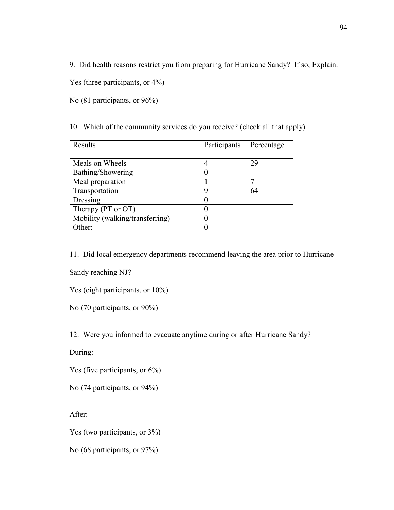9. Did health reasons restrict you from preparing for Hurricane Sandy? If so, Explain.

Yes (three participants, or  $4\%$ )

No (81 participants, or 96%)

10. Which of the community services do you receive? (check all that apply)

| Results                         | Participants | Percentage |
|---------------------------------|--------------|------------|
|                                 |              |            |
| Meals on Wheels                 |              | 29         |
| Bathing/Showering               |              |            |
| Meal preparation                |              |            |
| Transportation                  |              | 64         |
| Dressing                        |              |            |
| Therapy (PT or OT)              |              |            |
| Mobility (walking/transferring) |              |            |
| Other:                          |              |            |

11. Did local emergency departments recommend leaving the area prior to Hurricane

Sandy reaching NJ?

Yes (eight participants, or 10%)

No (70 participants, or 90%)

12. Were you informed to evacuate anytime during or after Hurricane Sandy?

During:

Yes (five participants, or  $6\%$ )

No (74 participants, or 94%)

After:

Yes (two participants, or 3%)

No (68 participants, or 97%)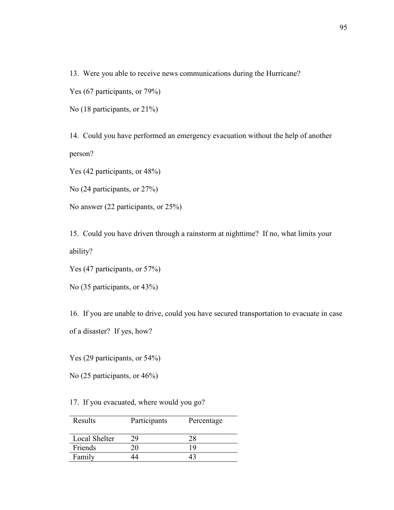13. Were you able to receive news communications during the Hurricane?

Yes (67 participants, or 79%)

No (18 participants, or 21%)

14. Could you have performed an emergency evacuation without the help of another person?

Yes (42 participants, or 48%)

No (24 participants, or 27%)

No answer (22 participants, or 25%)

15. Could you have driven through a rainstorm at nighttime? If no, what limits your ability?

Yes (47 participants, or 57%)

No (35 participants, or 43%)

16. If you are unable to drive, could you have secured transportation to evacuate in case

of a disaster? If yes, how?

Yes (29 participants, or 54%)

No (25 participants, or 46%)

17. If you evacuated, where would you go?

| Results       | Participants | Percentage |
|---------------|--------------|------------|
| Local Shelter |              | 28         |
| Friends       |              | 19         |
| Family        |              |            |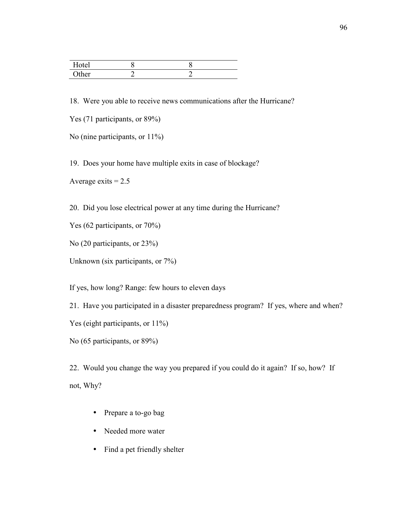| Hotel |  |  |
|-------|--|--|
| Other |  |  |

18. Were you able to receive news communications after the Hurricane?

Yes (71 participants, or 89%)

No (nine participants, or  $11\%$ )

19. Does your home have multiple exits in case of blockage?

Average exits  $= 2.5$ 

20. Did you lose electrical power at any time during the Hurricane?

Yes (62 participants, or 70%)

No (20 participants, or 23%)

Unknown (six participants, or 7%)

If yes, how long? Range: few hours to eleven days

21. Have you participated in a disaster preparedness program? If yes, where and when?

Yes (eight participants, or  $11\%$ )

No (65 participants, or 89%)

22. Would you change the way you prepared if you could do it again? If so, how? If not, Why?

- Prepare a to-go bag
- Needed more water
- Find a pet friendly shelter